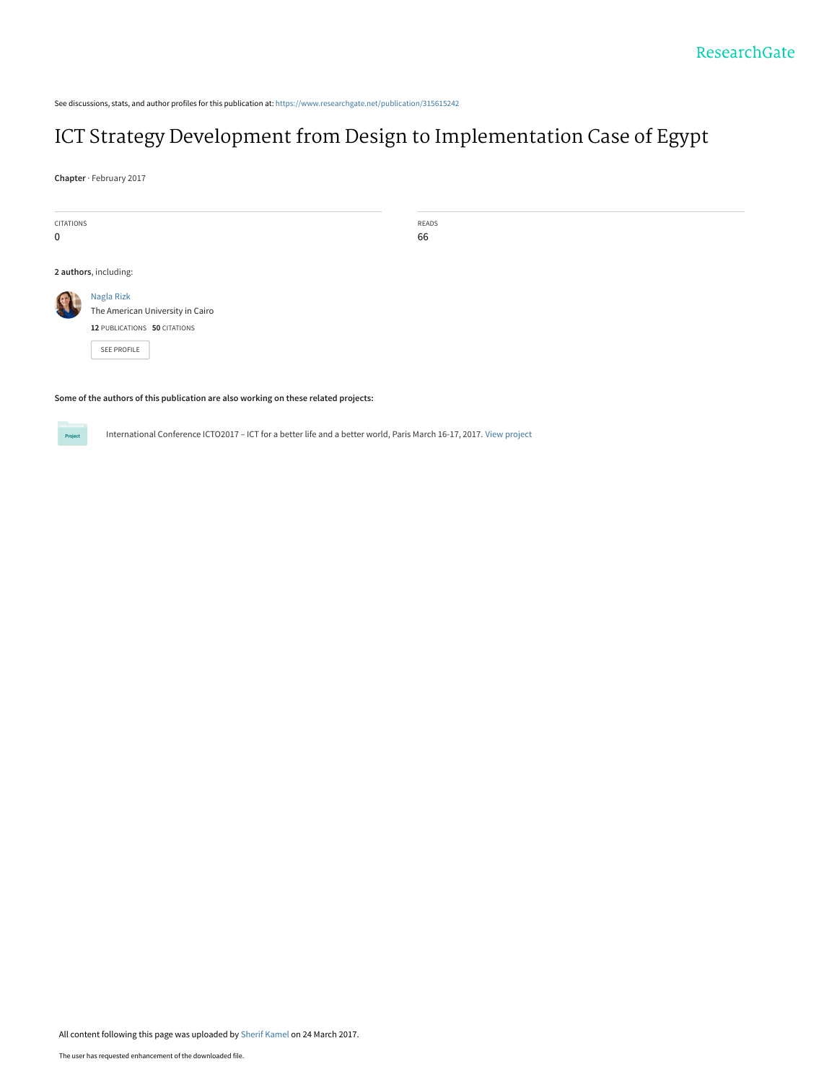See discussions, stats, and author profiles for this publication at: [https://www.researchgate.net/publication/315615242](https://www.researchgate.net/publication/315615242_ICT_Strategy_Development_from_Design_to_Implementation_Case_of_Egypt?enrichId=rgreq-299bd55754d27a93f0678f8f8d93afe2-XXX&enrichSource=Y292ZXJQYWdlOzMxNTYxNTI0MjtBUzo0NzU1Njk5MzU2NTQ5MTRAMTQ5MDM5NjExNjUwOQ%3D%3D&el=1_x_2&_esc=publicationCoverPdf)

# [ICT Strategy Development from Design to Implementation Case of Egypt](https://www.researchgate.net/publication/315615242_ICT_Strategy_Development_from_Design_to_Implementation_Case_of_Egypt?enrichId=rgreq-299bd55754d27a93f0678f8f8d93afe2-XXX&enrichSource=Y292ZXJQYWdlOzMxNTYxNTI0MjtBUzo0NzU1Njk5MzU2NTQ5MTRAMTQ5MDM5NjExNjUwOQ%3D%3D&el=1_x_3&_esc=publicationCoverPdf)

**Chapter** · February 2017

| CITATIONS   |                                                                                               | READS |  |  |
|-------------|-----------------------------------------------------------------------------------------------|-------|--|--|
| $\mathbf 0$ |                                                                                               | 66    |  |  |
|             |                                                                                               |       |  |  |
|             | 2 authors, including:                                                                         |       |  |  |
|             | Nagla Rizk<br>The American University in Cairo<br>12 PUBLICATIONS 50 CITATIONS<br>SEE PROFILE |       |  |  |

**Some of the authors of this publication are also working on these related projects:**



International Conference ICTO2017 – ICT for a better life and a better world, Paris March 16-17, 2017. [View project](https://www.researchgate.net/project/International-Conference-ICTO2017-ICT-for-a-better-life-and-a-better-world-Paris-March-16-17-2017-2?enrichId=rgreq-299bd55754d27a93f0678f8f8d93afe2-XXX&enrichSource=Y292ZXJQYWdlOzMxNTYxNTI0MjtBUzo0NzU1Njk5MzU2NTQ5MTRAMTQ5MDM5NjExNjUwOQ%3D%3D&el=1_x_9&_esc=publicationCoverPdf)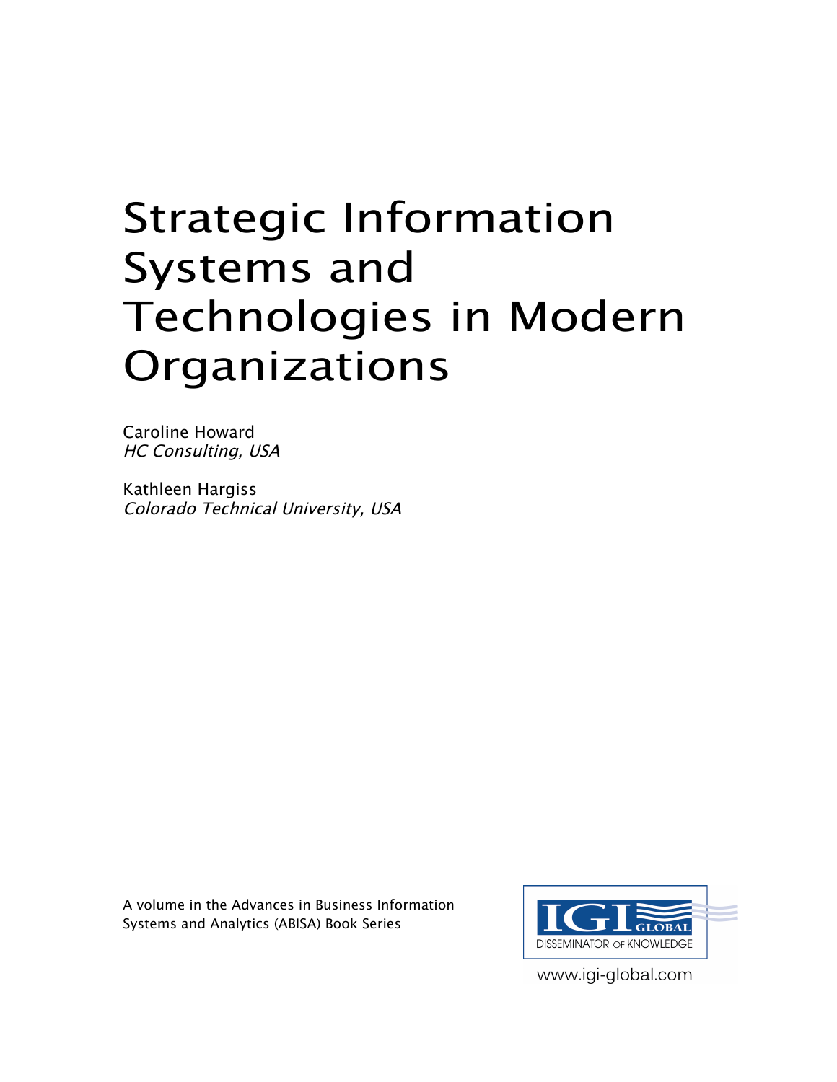# Strategic Information Systems and Technologies in Modern Organizations

Caroline Howard HC Consulting, USA

Kathleen Hargiss Colorado Technical University, USA

A volume in the Advances in Business Information Systems and Analytics (ABISA) Book Series



www.igi-global.com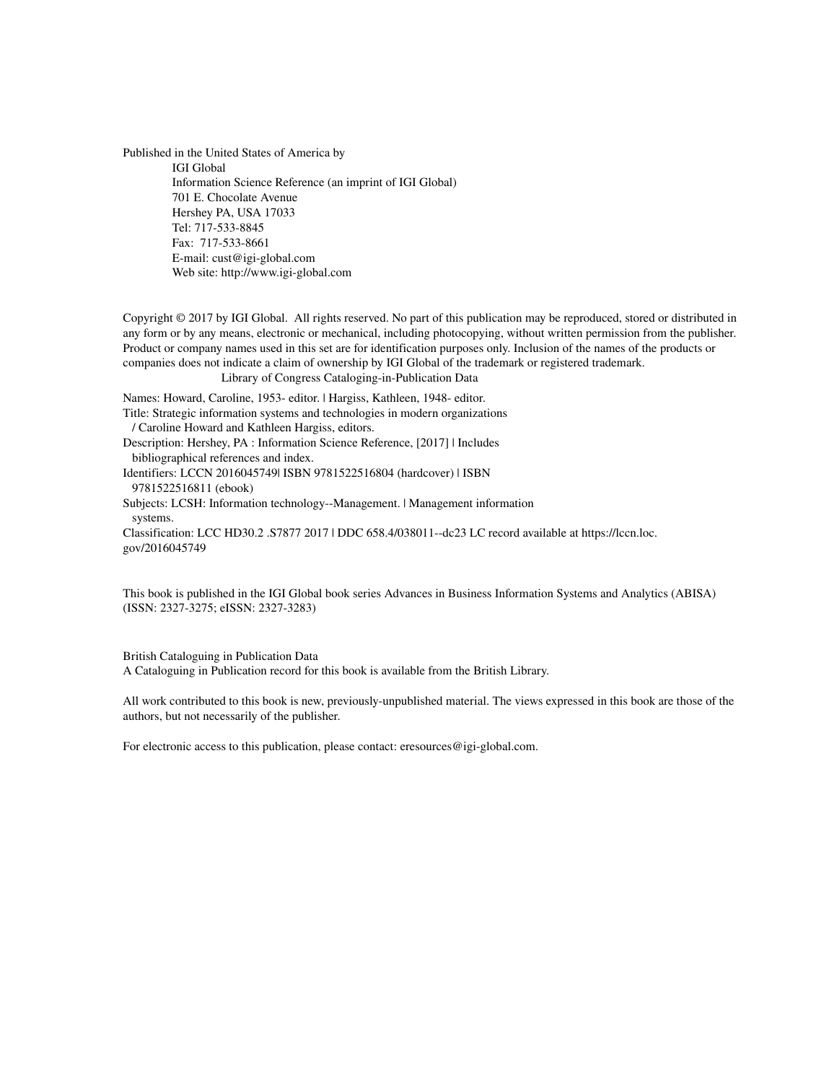Published in the United States of America by IGI Global Information Science Reference (an imprint of IGI Global) 701 E. Chocolate Avenue Hershey PA, USA 17033 Tel: 717-533-8845 Fax: 717-533-8661 E-mail: cust@igi-global.com Web site: http://www.igi-global.com

Copyright © 2017 by IGI Global. All rights reserved. No part of this publication may be reproduced, stored or distributed in any form or by any means, electronic or mechanical, including photocopying, without written permission from the publisher. Product or company names used in this set are for identification purposes only. Inclusion of the names of the products or companies does not indicate a claim of ownership by IGI Global of the trademark or registered trademark.

Library of Congress Cataloging-in-Publication Data

Names: Howard, Caroline, 1953- editor. | Hargiss, Kathleen, 1948- editor.

Title: Strategic information systems and technologies in modern organizations

/ Caroline Howard and Kathleen Hargiss, editors.

Description: Hershey, PA : Information Science Reference, [2017] | Includes bibliographical references and index.

Identifiers: LCCN 2016045749| ISBN 9781522516804 (hardcover) | ISBN 9781522516811 (ebook)

Subjects: LCSH: Information technology--Management. | Management information systems.

Classification: LCC HD30.2 .S7877 2017 | DDC 658.4/038011--dc23 LC record available at https://lccn.loc. gov/2016045749

This book is published in the IGI Global book series Advances in Business Information Systems and Analytics (ABISA) (ISSN: 2327-3275; eISSN: 2327-3283)

British Cataloguing in Publication Data A Cataloguing in Publication record for this book is available from the British Library.

All work contributed to this book is new, previously-unpublished material. The views expressed in this book are those of the authors, but not necessarily of the publisher.

For electronic access to this publication, please contact: eresources@igi-global.com.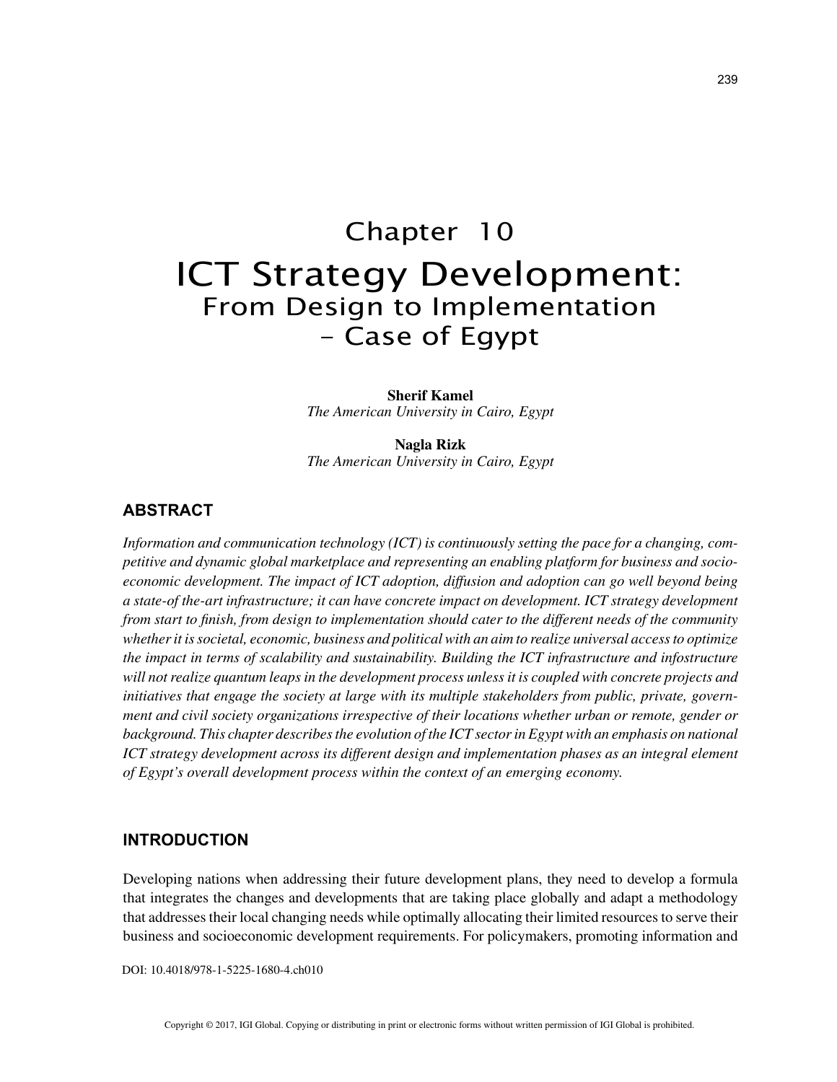# Chapter 10 ICT Strategy Development: From Design to Implementation – Case of Egypt

**Sherif Kamel** *The American University in Cairo, Egypt*

**Nagla Rizk** *The American University in Cairo, Egypt*

# **ABSTRACT**

*Information and communication technology (ICT) is continuously setting the pace for a changing, competitive and dynamic global marketplace and representing an enabling platform for business and socioeconomic development. The impact of ICT adoption, diffusion and adoption can go well beyond being a state-of the-art infrastructure; it can have concrete impact on development. ICT strategy development from start to finish, from design to implementation should cater to the different needs of the community whether it is societal, economic, business and political with an aim to realize universal access to optimize the impact in terms of scalability and sustainability. Building the ICT infrastructure and infostructure will not realize quantum leaps in the development process unless it is coupled with concrete projects and initiatives that engage the society at large with its multiple stakeholders from public, private, government and civil society organizations irrespective of their locations whether urban or remote, gender or*  background. This chapter describes the evolution of the ICT sector in Egypt with an emphasis on national *ICT strategy development across its different design and implementation phases as an integral element of Egypt's overall development process within the context of an emerging economy.*

#### **INTRODUCTION**

Developing nations when addressing their future development plans, they need to develop a formula that integrates the changes and developments that are taking place globally and adapt a methodology that addresses their local changing needs while optimally allocating their limited resources to serve their business and socioeconomic development requirements. For policymakers, promoting information and

DOI: 10.4018/978-1-5225-1680-4.ch010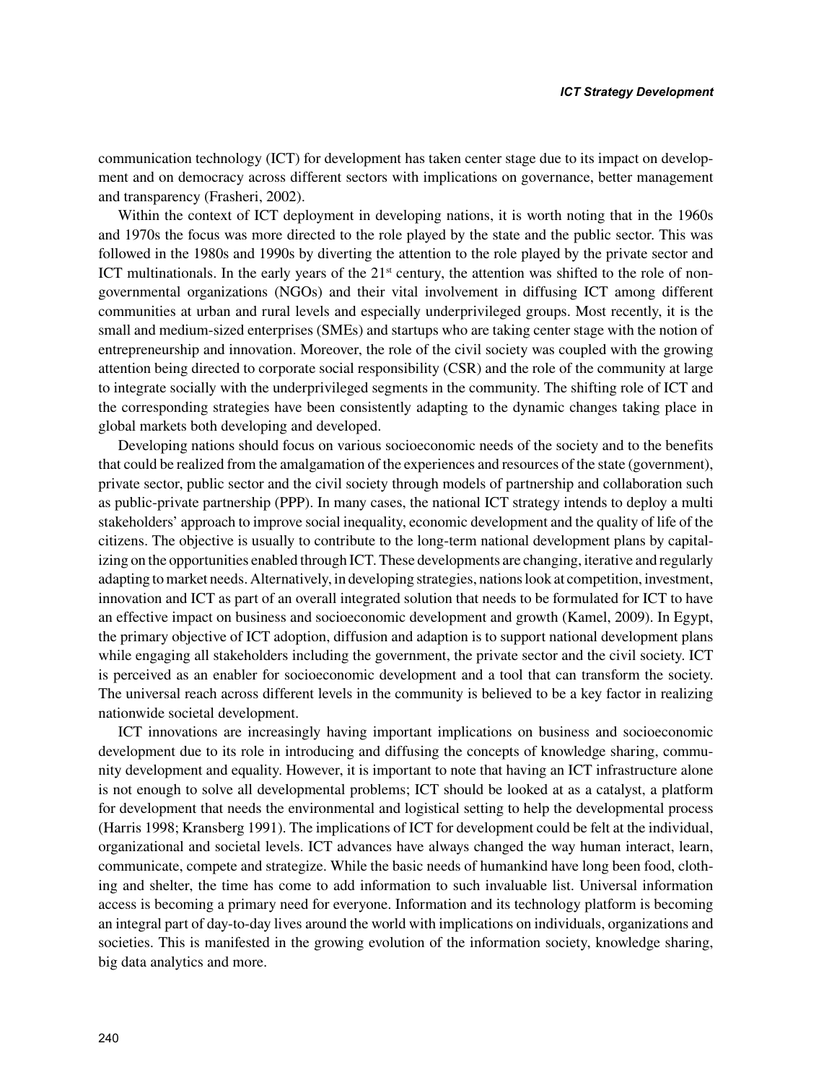communication technology (ICT) for development has taken center stage due to its impact on development and on democracy across different sectors with implications on governance, better management and transparency (Frasheri, 2002).

Within the context of ICT deployment in developing nations, it is worth noting that in the 1960s and 1970s the focus was more directed to the role played by the state and the public sector. This was followed in the 1980s and 1990s by diverting the attention to the role played by the private sector and ICT multinationals. In the early years of the  $21<sup>st</sup>$  century, the attention was shifted to the role of nongovernmental organizations (NGOs) and their vital involvement in diffusing ICT among different communities at urban and rural levels and especially underprivileged groups. Most recently, it is the small and medium-sized enterprises (SMEs) and startups who are taking center stage with the notion of entrepreneurship and innovation. Moreover, the role of the civil society was coupled with the growing attention being directed to corporate social responsibility (CSR) and the role of the community at large to integrate socially with the underprivileged segments in the community. The shifting role of ICT and the corresponding strategies have been consistently adapting to the dynamic changes taking place in global markets both developing and developed.

Developing nations should focus on various socioeconomic needs of the society and to the benefits that could be realized from the amalgamation of the experiences and resources of the state (government), private sector, public sector and the civil society through models of partnership and collaboration such as public-private partnership (PPP). In many cases, the national ICT strategy intends to deploy a multi stakeholders' approach to improve social inequality, economic development and the quality of life of the citizens. The objective is usually to contribute to the long-term national development plans by capitalizing on the opportunities enabled through ICT. These developments are changing, iterative and regularly adapting to market needs. Alternatively, in developing strategies, nations look at competition, investment, innovation and ICT as part of an overall integrated solution that needs to be formulated for ICT to have an effective impact on business and socioeconomic development and growth (Kamel, 2009). In Egypt, the primary objective of ICT adoption, diffusion and adaption is to support national development plans while engaging all stakeholders including the government, the private sector and the civil society. ICT is perceived as an enabler for socioeconomic development and a tool that can transform the society. The universal reach across different levels in the community is believed to be a key factor in realizing nationwide societal development.

ICT innovations are increasingly having important implications on business and socioeconomic development due to its role in introducing and diffusing the concepts of knowledge sharing, community development and equality. However, it is important to note that having an ICT infrastructure alone is not enough to solve all developmental problems; ICT should be looked at as a catalyst, a platform for development that needs the environmental and logistical setting to help the developmental process (Harris 1998; Kransberg 1991). The implications of ICT for development could be felt at the individual, organizational and societal levels. ICT advances have always changed the way human interact, learn, communicate, compete and strategize. While the basic needs of humankind have long been food, clothing and shelter, the time has come to add information to such invaluable list. Universal information access is becoming a primary need for everyone. Information and its technology platform is becoming an integral part of day-to-day lives around the world with implications on individuals, organizations and societies. This is manifested in the growing evolution of the information society, knowledge sharing, big data analytics and more.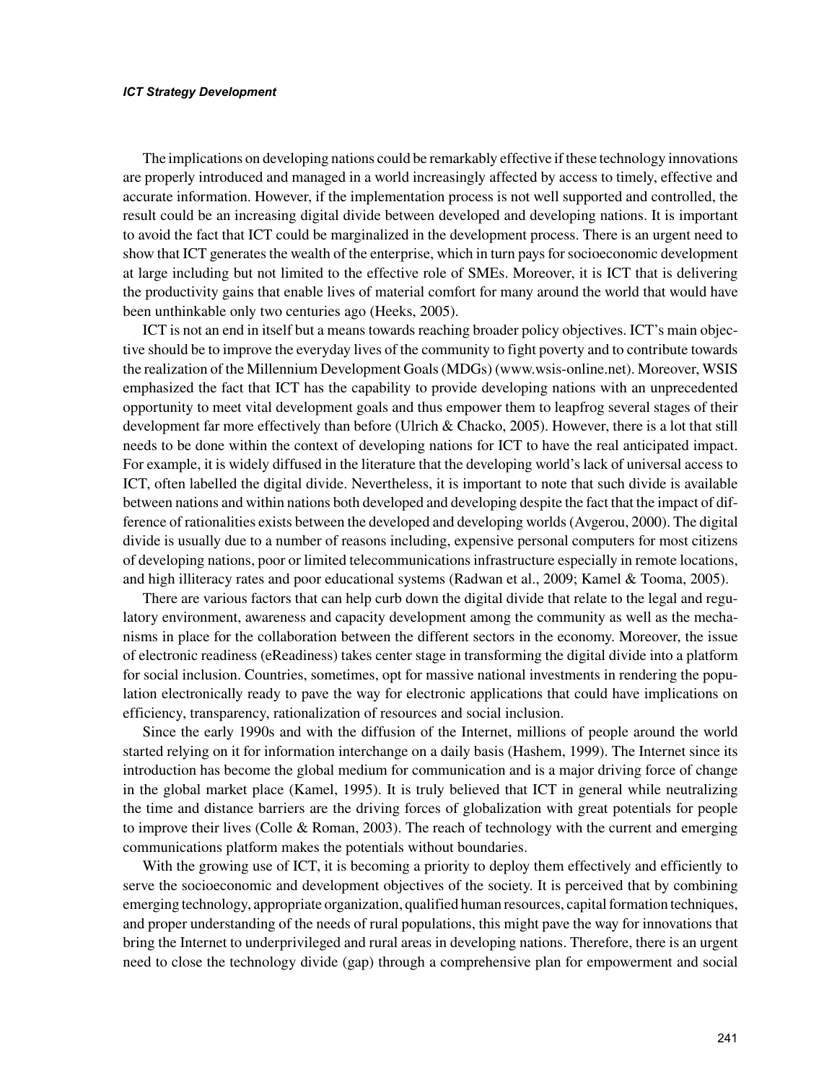The implications on developing nations could be remarkably effective if these technology innovations are properly introduced and managed in a world increasingly affected by access to timely, effective and accurate information. However, if the implementation process is not well supported and controlled, the result could be an increasing digital divide between developed and developing nations. It is important to avoid the fact that ICT could be marginalized in the development process. There is an urgent need to show that ICT generates the wealth of the enterprise, which in turn pays for socioeconomic development at large including but not limited to the effective role of SMEs. Moreover, it is ICT that is delivering the productivity gains that enable lives of material comfort for many around the world that would have been unthinkable only two centuries ago (Heeks, 2005).

ICT is not an end in itself but a means towards reaching broader policy objectives. ICT's main objective should be to improve the everyday lives of the community to fight poverty and to contribute towards the realization of the Millennium Development Goals (MDGs) (www.wsis-online.net). Moreover, WSIS emphasized the fact that ICT has the capability to provide developing nations with an unprecedented opportunity to meet vital development goals and thus empower them to leapfrog several stages of their development far more effectively than before (Ulrich & Chacko, 2005). However, there is a lot that still needs to be done within the context of developing nations for ICT to have the real anticipated impact. For example, it is widely diffused in the literature that the developing world's lack of universal access to ICT, often labelled the digital divide. Nevertheless, it is important to note that such divide is available between nations and within nations both developed and developing despite the fact that the impact of difference of rationalities exists between the developed and developing worlds (Avgerou, 2000). The digital divide is usually due to a number of reasons including, expensive personal computers for most citizens of developing nations, poor or limited telecommunications infrastructure especially in remote locations, and high illiteracy rates and poor educational systems (Radwan et al., 2009; Kamel & Tooma, 2005).

There are various factors that can help curb down the digital divide that relate to the legal and regulatory environment, awareness and capacity development among the community as well as the mechanisms in place for the collaboration between the different sectors in the economy. Moreover, the issue of electronic readiness (eReadiness) takes center stage in transforming the digital divide into a platform for social inclusion. Countries, sometimes, opt for massive national investments in rendering the population electronically ready to pave the way for electronic applications that could have implications on efficiency, transparency, rationalization of resources and social inclusion.

Since the early 1990s and with the diffusion of the Internet, millions of people around the world started relying on it for information interchange on a daily basis (Hashem, 1999). The Internet since its introduction has become the global medium for communication and is a major driving force of change in the global market place (Kamel, 1995). It is truly believed that ICT in general while neutralizing the time and distance barriers are the driving forces of globalization with great potentials for people to improve their lives (Colle & Roman, 2003). The reach of technology with the current and emerging communications platform makes the potentials without boundaries.

With the growing use of ICT, it is becoming a priority to deploy them effectively and efficiently to serve the socioeconomic and development objectives of the society. It is perceived that by combining emerging technology, appropriate organization, qualified human resources, capital formation techniques, and proper understanding of the needs of rural populations, this might pave the way for innovations that bring the Internet to underprivileged and rural areas in developing nations. Therefore, there is an urgent need to close the technology divide (gap) through a comprehensive plan for empowerment and social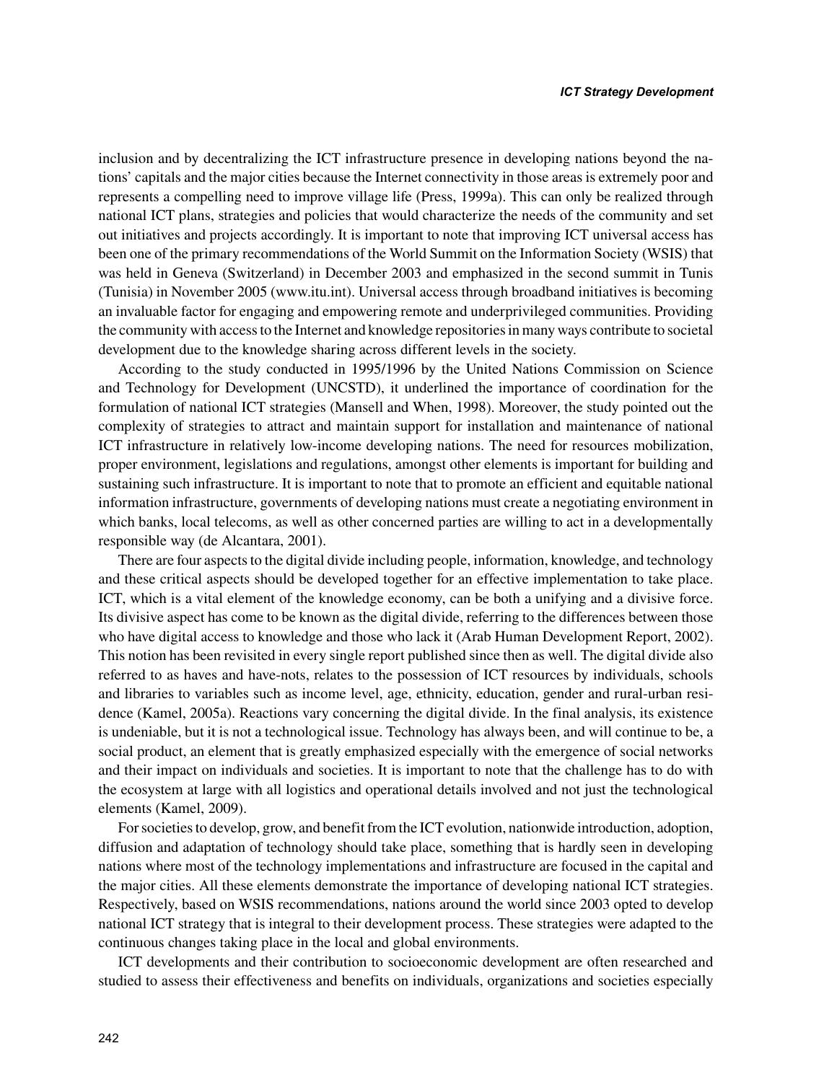inclusion and by decentralizing the ICT infrastructure presence in developing nations beyond the nations' capitals and the major cities because the Internet connectivity in those areas is extremely poor and represents a compelling need to improve village life (Press, 1999a). This can only be realized through national ICT plans, strategies and policies that would characterize the needs of the community and set out initiatives and projects accordingly. It is important to note that improving ICT universal access has been one of the primary recommendations of the World Summit on the Information Society (WSIS) that was held in Geneva (Switzerland) in December 2003 and emphasized in the second summit in Tunis (Tunisia) in November 2005 (www.itu.int). Universal access through broadband initiatives is becoming an invaluable factor for engaging and empowering remote and underprivileged communities. Providing the community with access to the Internet and knowledge repositories in many ways contribute to societal development due to the knowledge sharing across different levels in the society.

According to the study conducted in 1995/1996 by the United Nations Commission on Science and Technology for Development (UNCSTD), it underlined the importance of coordination for the formulation of national ICT strategies (Mansell and When, 1998). Moreover, the study pointed out the complexity of strategies to attract and maintain support for installation and maintenance of national ICT infrastructure in relatively low-income developing nations. The need for resources mobilization, proper environment, legislations and regulations, amongst other elements is important for building and sustaining such infrastructure. It is important to note that to promote an efficient and equitable national information infrastructure, governments of developing nations must create a negotiating environment in which banks, local telecoms, as well as other concerned parties are willing to act in a developmentally responsible way (de Alcantara, 2001).

There are four aspects to the digital divide including people, information, knowledge, and technology and these critical aspects should be developed together for an effective implementation to take place. ICT, which is a vital element of the knowledge economy, can be both a unifying and a divisive force. Its divisive aspect has come to be known as the digital divide, referring to the differences between those who have digital access to knowledge and those who lack it (Arab Human Development Report, 2002). This notion has been revisited in every single report published since then as well. The digital divide also referred to as haves and have-nots, relates to the possession of ICT resources by individuals, schools and libraries to variables such as income level, age, ethnicity, education, gender and rural-urban residence (Kamel, 2005a). Reactions vary concerning the digital divide. In the final analysis, its existence is undeniable, but it is not a technological issue. Technology has always been, and will continue to be, a social product, an element that is greatly emphasized especially with the emergence of social networks and their impact on individuals and societies. It is important to note that the challenge has to do with the ecosystem at large with all logistics and operational details involved and not just the technological elements (Kamel, 2009).

For societies to develop, grow, and benefit from the ICT evolution, nationwide introduction, adoption, diffusion and adaptation of technology should take place, something that is hardly seen in developing nations where most of the technology implementations and infrastructure are focused in the capital and the major cities. All these elements demonstrate the importance of developing national ICT strategies. Respectively, based on WSIS recommendations, nations around the world since 2003 opted to develop national ICT strategy that is integral to their development process. These strategies were adapted to the continuous changes taking place in the local and global environments.

ICT developments and their contribution to socioeconomic development are often researched and studied to assess their effectiveness and benefits on individuals, organizations and societies especially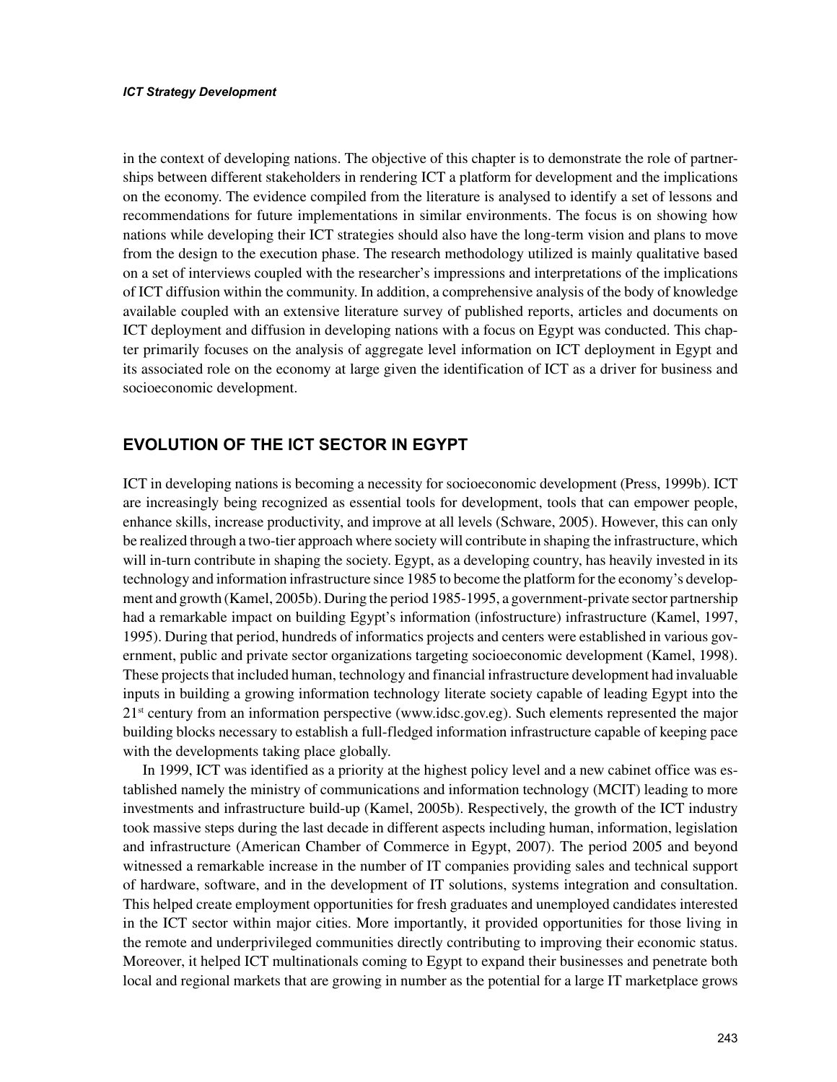in the context of developing nations. The objective of this chapter is to demonstrate the role of partnerships between different stakeholders in rendering ICT a platform for development and the implications on the economy. The evidence compiled from the literature is analysed to identify a set of lessons and recommendations for future implementations in similar environments. The focus is on showing how nations while developing their ICT strategies should also have the long-term vision and plans to move from the design to the execution phase. The research methodology utilized is mainly qualitative based on a set of interviews coupled with the researcher's impressions and interpretations of the implications of ICT diffusion within the community. In addition, a comprehensive analysis of the body of knowledge available coupled with an extensive literature survey of published reports, articles and documents on ICT deployment and diffusion in developing nations with a focus on Egypt was conducted. This chapter primarily focuses on the analysis of aggregate level information on ICT deployment in Egypt and its associated role on the economy at large given the identification of ICT as a driver for business and socioeconomic development.

# **EVOLUTION OF THE ICT SECTOR IN EGYPT**

ICT in developing nations is becoming a necessity for socioeconomic development (Press, 1999b). ICT are increasingly being recognized as essential tools for development, tools that can empower people, enhance skills, increase productivity, and improve at all levels (Schware, 2005). However, this can only be realized through a two-tier approach where society will contribute in shaping the infrastructure, which will in-turn contribute in shaping the society. Egypt, as a developing country, has heavily invested in its technology and information infrastructure since 1985 to become the platform for the economy's development and growth (Kamel, 2005b). During the period 1985-1995, a government-private sector partnership had a remarkable impact on building Egypt's information (infostructure) infrastructure (Kamel, 1997, 1995). During that period, hundreds of informatics projects and centers were established in various government, public and private sector organizations targeting socioeconomic development (Kamel, 1998). These projects that included human, technology and financial infrastructure development had invaluable inputs in building a growing information technology literate society capable of leading Egypt into the  $21<sup>st</sup>$  century from an information perspective (www.idsc.gov.eg). Such elements represented the major building blocks necessary to establish a full-fledged information infrastructure capable of keeping pace with the developments taking place globally.

In 1999, ICT was identified as a priority at the highest policy level and a new cabinet office was established namely the ministry of communications and information technology (MCIT) leading to more investments and infrastructure build-up (Kamel, 2005b). Respectively, the growth of the ICT industry took massive steps during the last decade in different aspects including human, information, legislation and infrastructure (American Chamber of Commerce in Egypt, 2007). The period 2005 and beyond witnessed a remarkable increase in the number of IT companies providing sales and technical support of hardware, software, and in the development of IT solutions, systems integration and consultation. This helped create employment opportunities for fresh graduates and unemployed candidates interested in the ICT sector within major cities. More importantly, it provided opportunities for those living in the remote and underprivileged communities directly contributing to improving their economic status. Moreover, it helped ICT multinationals coming to Egypt to expand their businesses and penetrate both local and regional markets that are growing in number as the potential for a large IT marketplace grows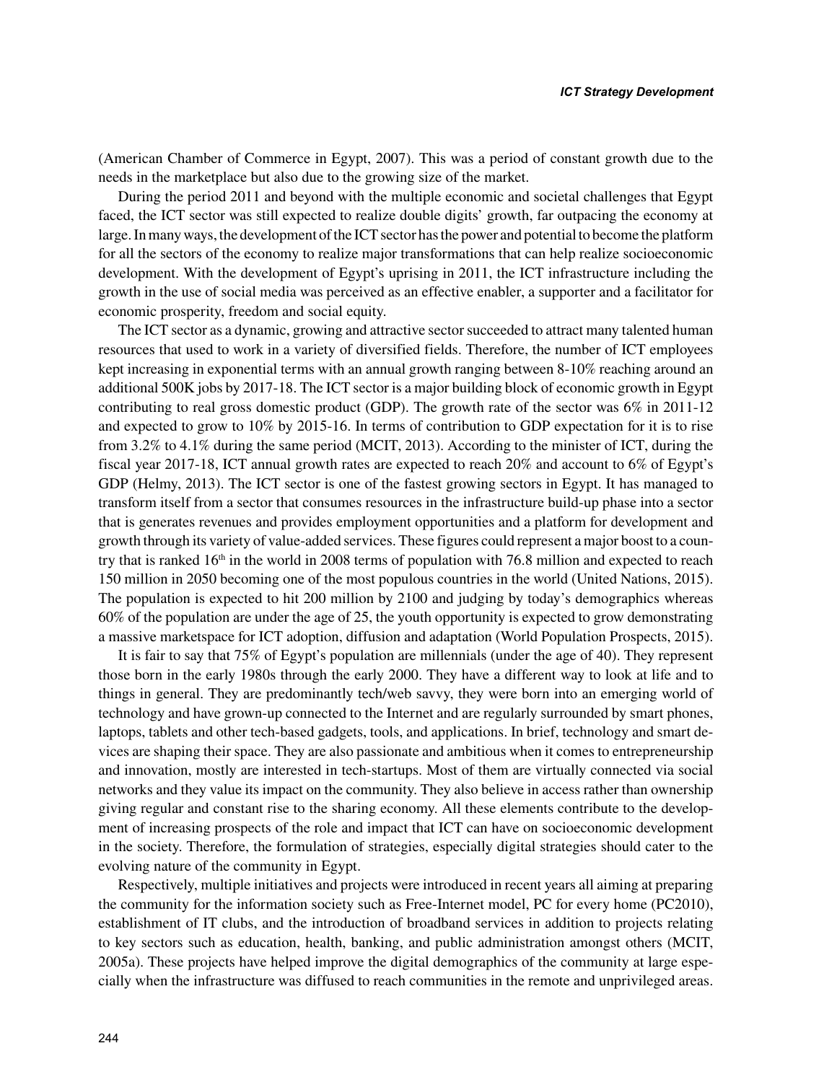(American Chamber of Commerce in Egypt, 2007). This was a period of constant growth due to the needs in the marketplace but also due to the growing size of the market.

During the period 2011 and beyond with the multiple economic and societal challenges that Egypt faced, the ICT sector was still expected to realize double digits' growth, far outpacing the economy at large. In many ways, the development of the ICT sector has the power and potential to become the platform for all the sectors of the economy to realize major transformations that can help realize socioeconomic development. With the development of Egypt's uprising in 2011, the ICT infrastructure including the growth in the use of social media was perceived as an effective enabler, a supporter and a facilitator for economic prosperity, freedom and social equity.

The ICT sector as a dynamic, growing and attractive sector succeeded to attract many talented human resources that used to work in a variety of diversified fields. Therefore, the number of ICT employees kept increasing in exponential terms with an annual growth ranging between 8-10% reaching around an additional 500K jobs by 2017-18. The ICT sector is a major building block of economic growth in Egypt contributing to real gross domestic product (GDP). The growth rate of the sector was 6% in 2011-12 and expected to grow to 10% by 2015-16. In terms of contribution to GDP expectation for it is to rise from 3.2% to 4.1% during the same period (MCIT, 2013). According to the minister of ICT, during the fiscal year 2017-18, ICT annual growth rates are expected to reach 20% and account to 6% of Egypt's GDP (Helmy, 2013). The ICT sector is one of the fastest growing sectors in Egypt. It has managed to transform itself from a sector that consumes resources in the infrastructure build-up phase into a sector that is generates revenues and provides employment opportunities and a platform for development and growth through its variety of value-added services. These figures could represent a major boost to a country that is ranked  $16<sup>th</sup>$  in the world in 2008 terms of population with 76.8 million and expected to reach 150 million in 2050 becoming one of the most populous countries in the world (United Nations, 2015). The population is expected to hit 200 million by 2100 and judging by today's demographics whereas 60% of the population are under the age of 25, the youth opportunity is expected to grow demonstrating a massive marketspace for ICT adoption, diffusion and adaptation (World Population Prospects, 2015).

It is fair to say that 75% of Egypt's population are millennials (under the age of 40). They represent those born in the early 1980s through the early 2000. They have a different way to look at life and to things in general. They are predominantly tech/web savvy, they were born into an emerging world of technology and have grown-up connected to the Internet and are regularly surrounded by smart phones, laptops, tablets and other tech-based gadgets, tools, and applications. In brief, technology and smart devices are shaping their space. They are also passionate and ambitious when it comes to entrepreneurship and innovation, mostly are interested in tech-startups. Most of them are virtually connected via social networks and they value its impact on the community. They also believe in access rather than ownership giving regular and constant rise to the sharing economy. All these elements contribute to the development of increasing prospects of the role and impact that ICT can have on socioeconomic development in the society. Therefore, the formulation of strategies, especially digital strategies should cater to the evolving nature of the community in Egypt.

Respectively, multiple initiatives and projects were introduced in recent years all aiming at preparing the community for the information society such as Free-Internet model, PC for every home (PC2010), establishment of IT clubs, and the introduction of broadband services in addition to projects relating to key sectors such as education, health, banking, and public administration amongst others (MCIT, 2005a). These projects have helped improve the digital demographics of the community at large especially when the infrastructure was diffused to reach communities in the remote and unprivileged areas.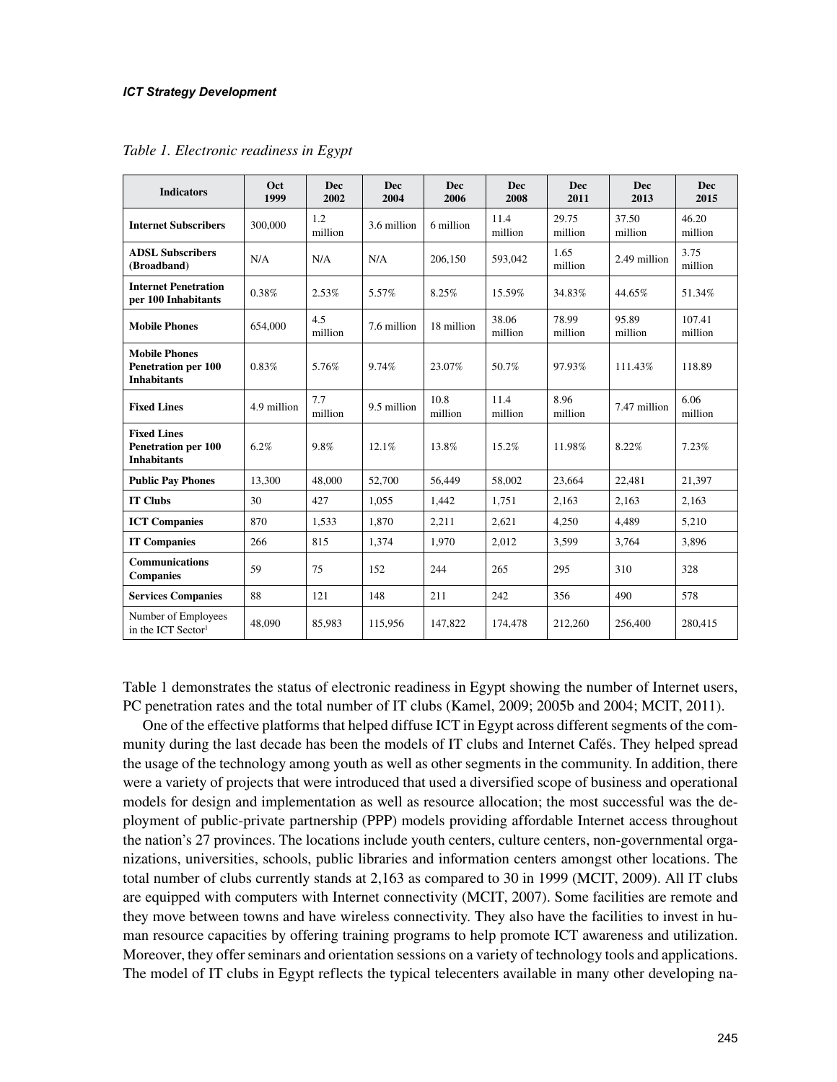| <b>Indicators</b>                                                        | Oct<br>1999 | <b>Dec</b><br>2002 | <b>Dec</b><br>2004 | <b>Dec</b><br>2006 | <b>Dec</b><br>2008 | <b>Dec</b><br>2011 | <b>Dec</b><br>2013 | <b>Dec</b><br>2015 |
|--------------------------------------------------------------------------|-------------|--------------------|--------------------|--------------------|--------------------|--------------------|--------------------|--------------------|
| <b>Internet Subscribers</b>                                              | 300,000     | 1.2<br>million     | 3.6 million        | 6 million          | 11.4<br>million    | 29.75<br>million   | 37.50<br>million   | 46.20<br>million   |
| <b>ADSL Subscribers</b><br>(Broadband)                                   | N/A         | N/A                | N/A                | 206,150            | 593,042            | 1.65<br>million    | 2.49 million       | 3.75<br>million    |
| <b>Internet Penetration</b><br>per 100 Inhabitants                       | 0.38%       | 2.53%              | 5.57%              | 8.25%              | 15.59%             | 34.83%             | 44.65%             | 51.34%             |
| <b>Mobile Phones</b>                                                     | 654,000     | 4.5<br>million     | 7.6 million        | 18 million         | 38.06<br>million   | 78.99<br>million   | 95.89<br>million   | 107.41<br>million  |
| <b>Mobile Phones</b><br><b>Penetration per 100</b><br><b>Inhabitants</b> | 0.83%       | 5.76%              | 9.74%              | 23.07%             | 50.7%              | 97.93%             | 111.43%            | 118.89             |
| <b>Fixed Lines</b>                                                       | 4.9 million | 7.7<br>million     | 9.5 million        | 10.8<br>million    | 11.4<br>million    | 8.96<br>million    | 7.47 million       | 6.06<br>million    |
| <b>Fixed Lines</b><br><b>Penetration per 100</b><br><b>Inhabitants</b>   | 6.2%        | 9.8%               | 12.1%              | 13.8%              | 15.2%              | 11.98%             | 8.22%              | 7.23%              |
| <b>Public Pay Phones</b>                                                 | 13,300      | 48,000             | 52,700             | 56,449             | 58,002             | 23,664             | 22,481             | 21,397             |
| <b>IT Clubs</b>                                                          | 30          | 427                | 1.055              | 1,442              | 1.751              | 2,163              | 2,163              | 2,163              |
| <b>ICT Companies</b>                                                     | 870         | 1,533              | 1.870              | 2,211              | 2.621              | 4,250              | 4,489              | 5,210              |
| <b>IT Companies</b>                                                      | 266         | 815                | 1.374              | 1.970              | 2.012              | 3.599              | 3,764              | 3.896              |
| <b>Communications</b><br><b>Companies</b>                                | 59          | 75                 | 152                | 244                | 265                | 295                | 310                | 328                |
| <b>Services Companies</b>                                                | 88          | 121                | 148                | 211                | 242                | 356                | 490                | 578                |
| Number of Employees<br>in the ICT Sector <sup>1</sup>                    | 48,090      | 85,983             | 115,956            | 147,822            | 174,478            | 212,260            | 256,400            | 280,415            |

*Table 1. Electronic readiness in Egypt*

Table 1 demonstrates the status of electronic readiness in Egypt showing the number of Internet users, PC penetration rates and the total number of IT clubs (Kamel, 2009; 2005b and 2004; MCIT, 2011).

One of the effective platforms that helped diffuse ICT in Egypt across different segments of the community during the last decade has been the models of IT clubs and Internet Cafés. They helped spread the usage of the technology among youth as well as other segments in the community. In addition, there were a variety of projects that were introduced that used a diversified scope of business and operational models for design and implementation as well as resource allocation; the most successful was the deployment of public-private partnership (PPP) models providing affordable Internet access throughout the nation's 27 provinces. The locations include youth centers, culture centers, non-governmental organizations, universities, schools, public libraries and information centers amongst other locations. The total number of clubs currently stands at 2,163 as compared to 30 in 1999 (MCIT, 2009). All IT clubs are equipped with computers with Internet connectivity (MCIT, 2007). Some facilities are remote and they move between towns and have wireless connectivity. They also have the facilities to invest in human resource capacities by offering training programs to help promote ICT awareness and utilization. Moreover, they offer seminars and orientation sessions on a variety of technology tools and applications. The model of IT clubs in Egypt reflects the typical telecenters available in many other developing na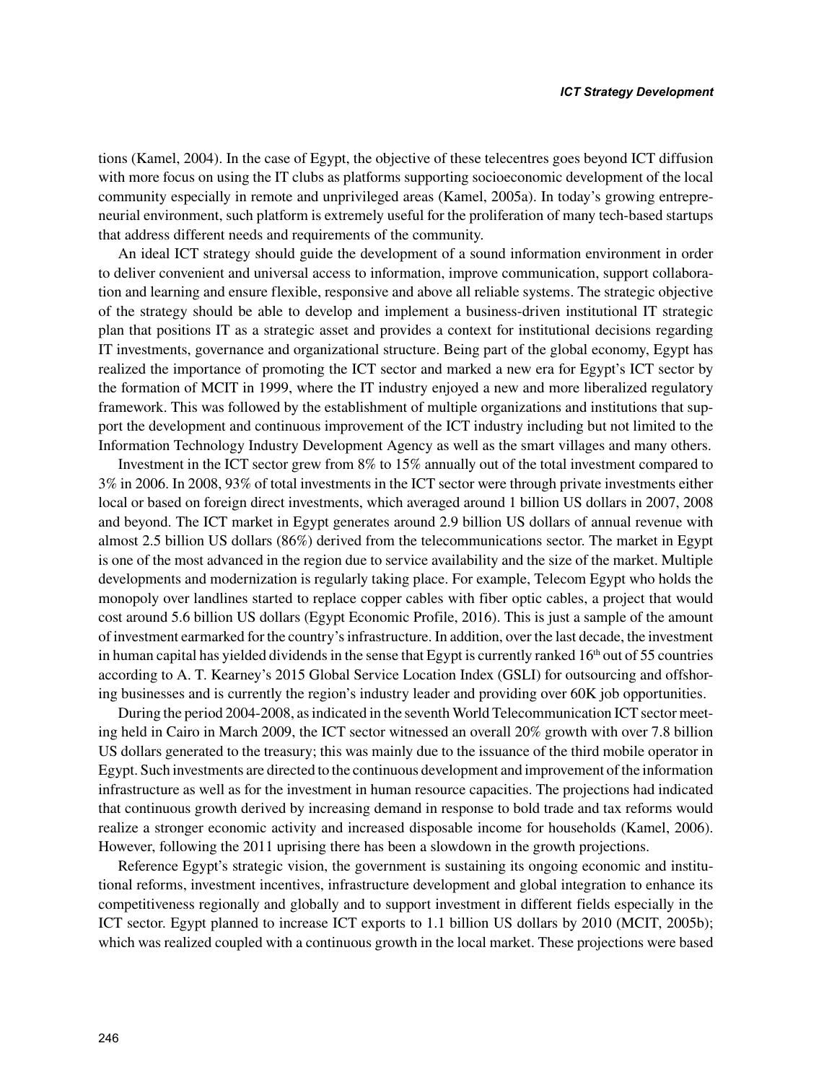tions (Kamel, 2004). In the case of Egypt, the objective of these telecentres goes beyond ICT diffusion with more focus on using the IT clubs as platforms supporting socioeconomic development of the local community especially in remote and unprivileged areas (Kamel, 2005a). In today's growing entrepreneurial environment, such platform is extremely useful for the proliferation of many tech-based startups that address different needs and requirements of the community.

An ideal ICT strategy should guide the development of a sound information environment in order to deliver convenient and universal access to information, improve communication, support collaboration and learning and ensure flexible, responsive and above all reliable systems. The strategic objective of the strategy should be able to develop and implement a business-driven institutional IT strategic plan that positions IT as a strategic asset and provides a context for institutional decisions regarding IT investments, governance and organizational structure. Being part of the global economy, Egypt has realized the importance of promoting the ICT sector and marked a new era for Egypt's ICT sector by the formation of MCIT in 1999, where the IT industry enjoyed a new and more liberalized regulatory framework. This was followed by the establishment of multiple organizations and institutions that support the development and continuous improvement of the ICT industry including but not limited to the Information Technology Industry Development Agency as well as the smart villages and many others.

Investment in the ICT sector grew from 8% to 15% annually out of the total investment compared to 3% in 2006. In 2008, 93% of total investments in the ICT sector were through private investments either local or based on foreign direct investments, which averaged around 1 billion US dollars in 2007, 2008 and beyond. The ICT market in Egypt generates around 2.9 billion US dollars of annual revenue with almost 2.5 billion US dollars (86%) derived from the telecommunications sector. The market in Egypt is one of the most advanced in the region due to service availability and the size of the market. Multiple developments and modernization is regularly taking place. For example, Telecom Egypt who holds the monopoly over landlines started to replace copper cables with fiber optic cables, a project that would cost around 5.6 billion US dollars (Egypt Economic Profile, 2016). This is just a sample of the amount of investment earmarked for the country's infrastructure. In addition, over the last decade, the investment in human capital has yielded dividends in the sense that Egypt is currently ranked  $16<sup>th</sup>$  out of 55 countries according to A. T. Kearney's 2015 Global Service Location Index (GSLI) for outsourcing and offshoring businesses and is currently the region's industry leader and providing over 60K job opportunities.

During the period 2004-2008, as indicated in the seventh World Telecommunication ICT sector meeting held in Cairo in March 2009, the ICT sector witnessed an overall 20% growth with over 7.8 billion US dollars generated to the treasury; this was mainly due to the issuance of the third mobile operator in Egypt. Such investments are directed to the continuous development and improvement of the information infrastructure as well as for the investment in human resource capacities. The projections had indicated that continuous growth derived by increasing demand in response to bold trade and tax reforms would realize a stronger economic activity and increased disposable income for households (Kamel, 2006). However, following the 2011 uprising there has been a slowdown in the growth projections.

Reference Egypt's strategic vision, the government is sustaining its ongoing economic and institutional reforms, investment incentives, infrastructure development and global integration to enhance its competitiveness regionally and globally and to support investment in different fields especially in the ICT sector. Egypt planned to increase ICT exports to 1.1 billion US dollars by 2010 (MCIT, 2005b); which was realized coupled with a continuous growth in the local market. These projections were based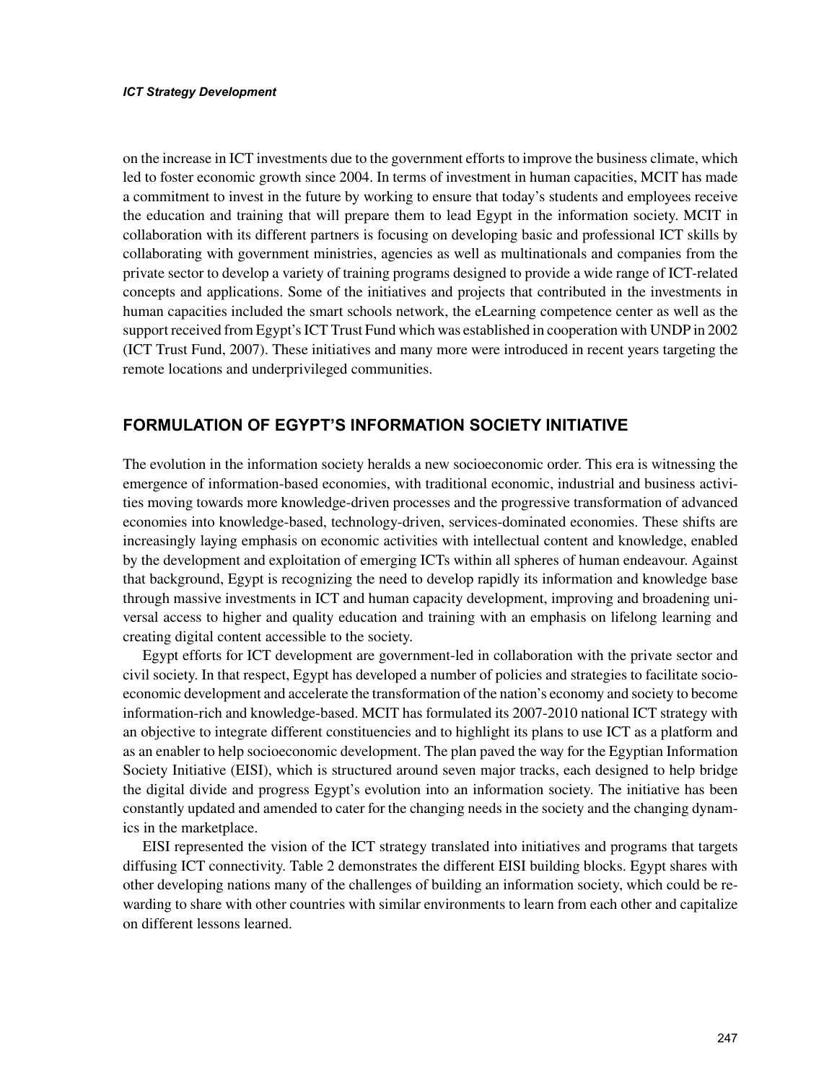on the increase in ICT investments due to the government efforts to improve the business climate, which led to foster economic growth since 2004. In terms of investment in human capacities, MCIT has made a commitment to invest in the future by working to ensure that today's students and employees receive the education and training that will prepare them to lead Egypt in the information society. MCIT in collaboration with its different partners is focusing on developing basic and professional ICT skills by collaborating with government ministries, agencies as well as multinationals and companies from the private sector to develop a variety of training programs designed to provide a wide range of ICT-related concepts and applications. Some of the initiatives and projects that contributed in the investments in human capacities included the smart schools network, the eLearning competence center as well as the support received from Egypt's ICT Trust Fund which was established in cooperation with UNDP in 2002 (ICT Trust Fund, 2007). These initiatives and many more were introduced in recent years targeting the remote locations and underprivileged communities.

# **FORMULATION OF EGYPT'S INFORMATION SOCIETY INITIATIVE**

The evolution in the information society heralds a new socioeconomic order. This era is witnessing the emergence of information-based economies, with traditional economic, industrial and business activities moving towards more knowledge-driven processes and the progressive transformation of advanced economies into knowledge-based, technology-driven, services-dominated economies. These shifts are increasingly laying emphasis on economic activities with intellectual content and knowledge, enabled by the development and exploitation of emerging ICTs within all spheres of human endeavour. Against that background, Egypt is recognizing the need to develop rapidly its information and knowledge base through massive investments in ICT and human capacity development, improving and broadening universal access to higher and quality education and training with an emphasis on lifelong learning and creating digital content accessible to the society.

Egypt efforts for ICT development are government-led in collaboration with the private sector and civil society. In that respect, Egypt has developed a number of policies and strategies to facilitate socioeconomic development and accelerate the transformation of the nation's economy and society to become information-rich and knowledge-based. MCIT has formulated its 2007-2010 national ICT strategy with an objective to integrate different constituencies and to highlight its plans to use ICT as a platform and as an enabler to help socioeconomic development. The plan paved the way for the Egyptian Information Society Initiative (EISI), which is structured around seven major tracks, each designed to help bridge the digital divide and progress Egypt's evolution into an information society. The initiative has been constantly updated and amended to cater for the changing needs in the society and the changing dynamics in the marketplace.

EISI represented the vision of the ICT strategy translated into initiatives and programs that targets diffusing ICT connectivity. Table 2 demonstrates the different EISI building blocks. Egypt shares with other developing nations many of the challenges of building an information society, which could be rewarding to share with other countries with similar environments to learn from each other and capitalize on different lessons learned.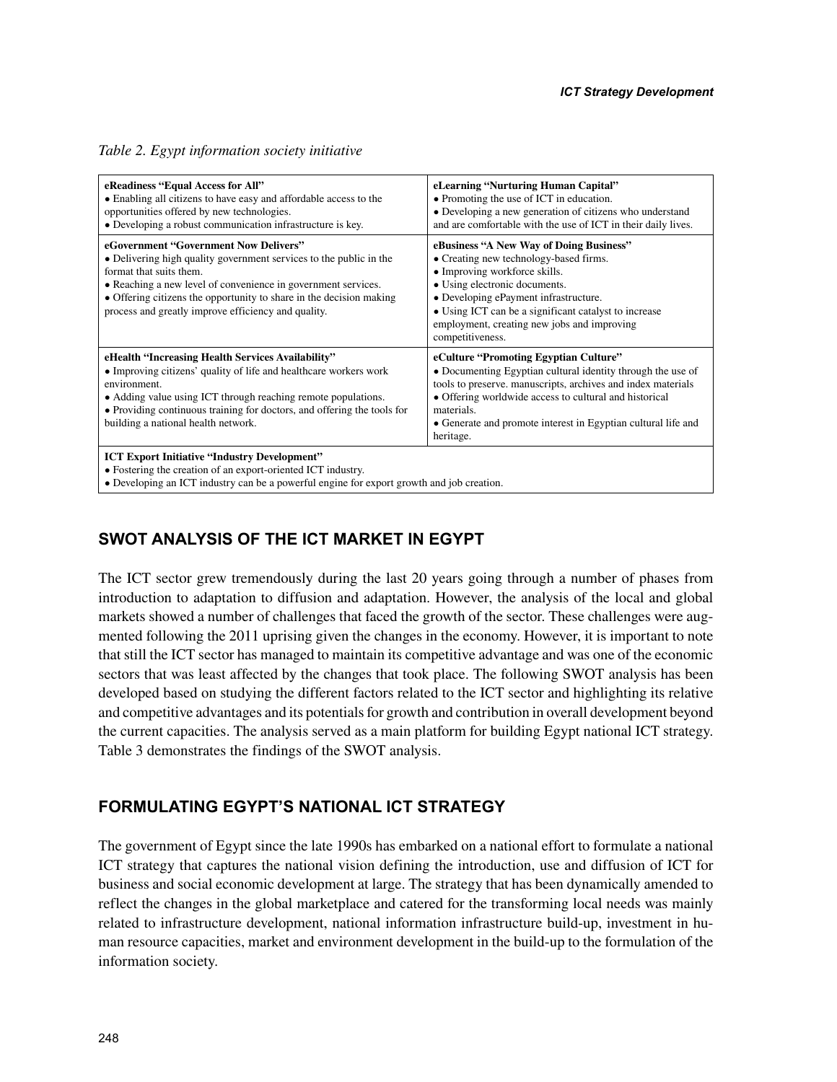#### *Table 2. Egypt information society initiative*

| eReadiness "Equal Access for All"<br>• Enabling all citizens to have easy and affordable access to the<br>opportunities offered by new technologies.<br>• Developing a robust communication infrastructure is key.                                                                                                                    | eLearning "Nurturing Human Capital"<br>• Promoting the use of ICT in education.<br>• Developing a new generation of citizens who understand<br>and are comfortable with the use of ICT in their daily lives.                                                                                                               |
|---------------------------------------------------------------------------------------------------------------------------------------------------------------------------------------------------------------------------------------------------------------------------------------------------------------------------------------|----------------------------------------------------------------------------------------------------------------------------------------------------------------------------------------------------------------------------------------------------------------------------------------------------------------------------|
| eGovernment "Government Now Delivers"<br>• Delivering high quality government services to the public in the<br>format that suits them.<br>• Reaching a new level of convenience in government services.<br>• Offering citizens the opportunity to share in the decision making<br>process and greatly improve efficiency and quality. | eBusiness "A New Way of Doing Business"<br>• Creating new technology-based firms.<br>• Improving workforce skills.<br>• Using electronic documents.<br>• Developing ePayment infrastructure.<br>• Using ICT can be a significant catalyst to increase<br>employment, creating new jobs and improving<br>competitiveness.   |
| eHealth "Increasing Health Services Availability"<br>• Improving citizens' quality of life and healthcare workers work<br>environment.<br>• Adding value using ICT through reaching remote populations.<br>• Providing continuous training for doctors, and offering the tools for<br>building a national health network.             | eCulture "Promoting Egyptian Culture"<br>• Documenting Egyptian cultural identity through the use of<br>tools to preserve. manuscripts, archives and index materials<br>• Offering worldwide access to cultural and historical<br>materials.<br>• Generate and promote interest in Egyptian cultural life and<br>heritage. |
| <b>ICT Export Initiative "Industry Development"</b><br>• Fostering the creation of an export-oriented ICT industry.<br>• Developing an ICT industry can be a powerful engine for export growth and job creation.                                                                                                                      |                                                                                                                                                                                                                                                                                                                            |

# **SWOT ANALYSIS OF THE ICT MARKET IN EGYPT**

The ICT sector grew tremendously during the last 20 years going through a number of phases from introduction to adaptation to diffusion and adaptation. However, the analysis of the local and global markets showed a number of challenges that faced the growth of the sector. These challenges were augmented following the 2011 uprising given the changes in the economy. However, it is important to note that still the ICT sector has managed to maintain its competitive advantage and was one of the economic sectors that was least affected by the changes that took place. The following SWOT analysis has been developed based on studying the different factors related to the ICT sector and highlighting its relative and competitive advantages and its potentials for growth and contribution in overall development beyond the current capacities. The analysis served as a main platform for building Egypt national ICT strategy. Table 3 demonstrates the findings of the SWOT analysis.

### **FORMULATING EGYPT'S NATIONAL ICT STRATEGY**

The government of Egypt since the late 1990s has embarked on a national effort to formulate a national ICT strategy that captures the national vision defining the introduction, use and diffusion of ICT for business and social economic development at large. The strategy that has been dynamically amended to reflect the changes in the global marketplace and catered for the transforming local needs was mainly related to infrastructure development, national information infrastructure build-up, investment in human resource capacities, market and environment development in the build-up to the formulation of the information society.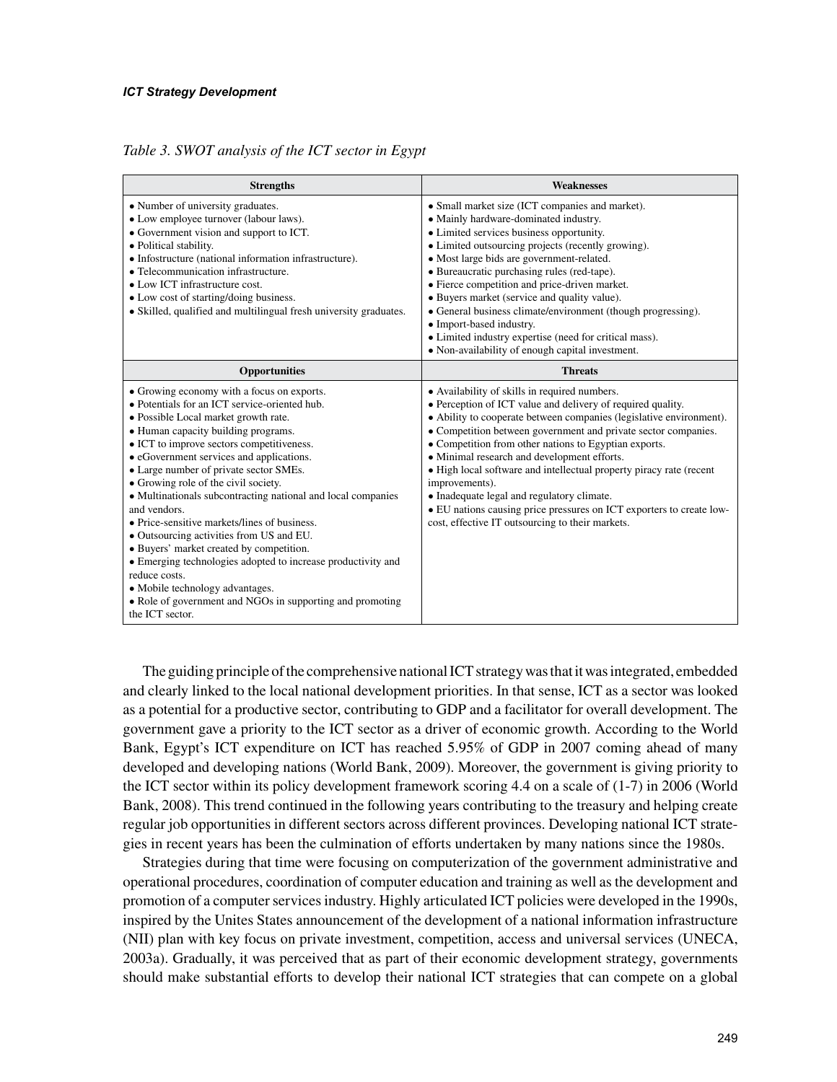*Table 3. SWOT analysis of the ICT sector in Egypt*

| <b>Strengths</b>                                                                                                                                                                                                                                                                                                                                                                                                                                                                                                                                                                                                                                                                                                                                                                  | <b>Weaknesses</b>                                                                                                                                                                                                                                                                                                                                                                                                                                                                                                                                                                                                                |
|-----------------------------------------------------------------------------------------------------------------------------------------------------------------------------------------------------------------------------------------------------------------------------------------------------------------------------------------------------------------------------------------------------------------------------------------------------------------------------------------------------------------------------------------------------------------------------------------------------------------------------------------------------------------------------------------------------------------------------------------------------------------------------------|----------------------------------------------------------------------------------------------------------------------------------------------------------------------------------------------------------------------------------------------------------------------------------------------------------------------------------------------------------------------------------------------------------------------------------------------------------------------------------------------------------------------------------------------------------------------------------------------------------------------------------|
| • Number of university graduates.<br>• Low employee turnover (labour laws).<br>• Government vision and support to ICT.<br>• Political stability.<br>• Infostructure (national information infrastructure).<br>• Telecommunication infrastructure.<br>$\bullet$ Low ICT infrastructure cost.<br>• Low cost of starting/doing business.<br>• Skilled, qualified and multilingual fresh university graduates.                                                                                                                                                                                                                                                                                                                                                                        | • Small market size (ICT companies and market).<br>• Mainly hardware-dominated industry.<br>• Limited services business opportunity.<br>• Limited outsourcing projects (recently growing).<br>• Most large bids are government-related.<br>• Bureaucratic purchasing rules (red-tape).<br>• Fierce competition and price-driven market.<br>• Buyers market (service and quality value).<br>• General business climate/environment (though progressing).<br>• Import-based industry.<br>• Limited industry expertise (need for critical mass).<br>• Non-availability of enough capital investment.                                |
| Opportunities                                                                                                                                                                                                                                                                                                                                                                                                                                                                                                                                                                                                                                                                                                                                                                     | <b>Threats</b>                                                                                                                                                                                                                                                                                                                                                                                                                                                                                                                                                                                                                   |
| • Growing economy with a focus on exports.<br>• Potentials for an ICT service-oriented hub.<br>• Possible Local market growth rate.<br>• Human capacity building programs.<br>• ICT to improve sectors competitiveness.<br>• eGovernment services and applications.<br>• Large number of private sector SMEs.<br>• Growing role of the civil society.<br>• Multinationals subcontracting national and local companies<br>and vendors.<br>• Price-sensitive markets/lines of business.<br>• Outsourcing activities from US and EU.<br>• Buyers' market created by competition.<br>• Emerging technologies adopted to increase productivity and<br>reduce costs.<br>• Mobile technology advantages.<br>• Role of government and NGOs in supporting and promoting<br>the ICT sector. | • Availability of skills in required numbers.<br>• Perception of ICT value and delivery of required quality.<br>• Ability to cooperate between companies (legislative environment).<br>• Competition between government and private sector companies.<br>• Competition from other nations to Egyptian exports.<br>• Minimal research and development efforts.<br>• High local software and intellectual property piracy rate (recent<br>improvements).<br>• Inadequate legal and regulatory climate.<br>• EU nations causing price pressures on ICT exporters to create low-<br>cost, effective IT outsourcing to their markets. |

The guiding principle of the comprehensive national ICT strategy was that it was integrated, embedded and clearly linked to the local national development priorities. In that sense, ICT as a sector was looked as a potential for a productive sector, contributing to GDP and a facilitator for overall development. The government gave a priority to the ICT sector as a driver of economic growth. According to the World Bank, Egypt's ICT expenditure on ICT has reached 5.95% of GDP in 2007 coming ahead of many developed and developing nations (World Bank, 2009). Moreover, the government is giving priority to the ICT sector within its policy development framework scoring 4.4 on a scale of (1-7) in 2006 (World Bank, 2008). This trend continued in the following years contributing to the treasury and helping create regular job opportunities in different sectors across different provinces. Developing national ICT strategies in recent years has been the culmination of efforts undertaken by many nations since the 1980s.

Strategies during that time were focusing on computerization of the government administrative and operational procedures, coordination of computer education and training as well as the development and promotion of a computer services industry. Highly articulated ICT policies were developed in the 1990s, inspired by the Unites States announcement of the development of a national information infrastructure (NII) plan with key focus on private investment, competition, access and universal services (UNECA, 2003a). Gradually, it was perceived that as part of their economic development strategy, governments should make substantial efforts to develop their national ICT strategies that can compete on a global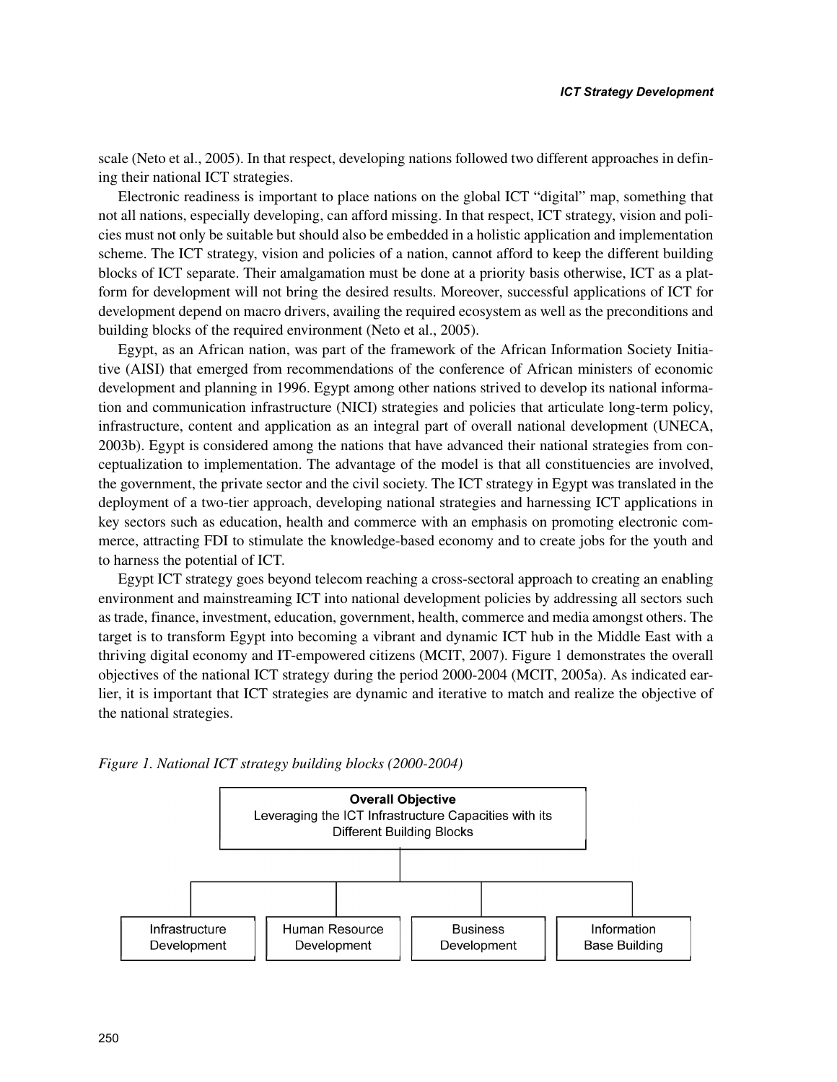scale (Neto et al., 2005). In that respect, developing nations followed two different approaches in defining their national ICT strategies.

Electronic readiness is important to place nations on the global ICT "digital" map, something that not all nations, especially developing, can afford missing. In that respect, ICT strategy, vision and policies must not only be suitable but should also be embedded in a holistic application and implementation scheme. The ICT strategy, vision and policies of a nation, cannot afford to keep the different building blocks of ICT separate. Their amalgamation must be done at a priority basis otherwise, ICT as a platform for development will not bring the desired results. Moreover, successful applications of ICT for development depend on macro drivers, availing the required ecosystem as well as the preconditions and building blocks of the required environment (Neto et al., 2005).

Egypt, as an African nation, was part of the framework of the African Information Society Initiative (AISI) that emerged from recommendations of the conference of African ministers of economic development and planning in 1996. Egypt among other nations strived to develop its national information and communication infrastructure (NICI) strategies and policies that articulate long-term policy, infrastructure, content and application as an integral part of overall national development (UNECA, 2003b). Egypt is considered among the nations that have advanced their national strategies from conceptualization to implementation. The advantage of the model is that all constituencies are involved, the government, the private sector and the civil society. The ICT strategy in Egypt was translated in the deployment of a two-tier approach, developing national strategies and harnessing ICT applications in key sectors such as education, health and commerce with an emphasis on promoting electronic commerce, attracting FDI to stimulate the knowledge-based economy and to create jobs for the youth and to harness the potential of ICT.

Egypt ICT strategy goes beyond telecom reaching a cross-sectoral approach to creating an enabling environment and mainstreaming ICT into national development policies by addressing all sectors such as trade, finance, investment, education, government, health, commerce and media amongst others. The target is to transform Egypt into becoming a vibrant and dynamic ICT hub in the Middle East with a thriving digital economy and IT-empowered citizens (MCIT, 2007). Figure 1 demonstrates the overall objectives of the national ICT strategy during the period 2000-2004 (MCIT, 2005a). As indicated earlier, it is important that ICT strategies are dynamic and iterative to match and realize the objective of the national strategies.



*Figure 1. National ICT strategy building blocks (2000-2004)*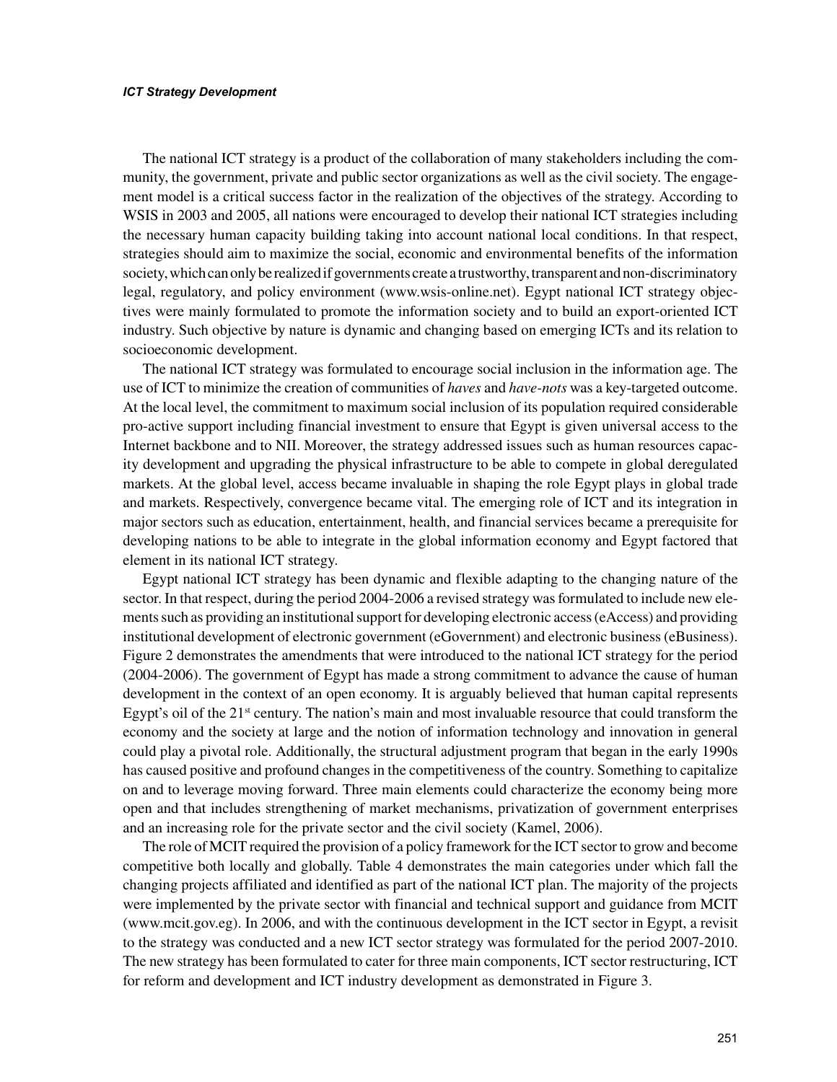The national ICT strategy is a product of the collaboration of many stakeholders including the community, the government, private and public sector organizations as well as the civil society. The engagement model is a critical success factor in the realization of the objectives of the strategy. According to WSIS in 2003 and 2005, all nations were encouraged to develop their national ICT strategies including the necessary human capacity building taking into account national local conditions. In that respect, strategies should aim to maximize the social, economic and environmental benefits of the information society, which can only be realized if governments create a trustworthy, transparent and non-discriminatory legal, regulatory, and policy environment (www.wsis-online.net). Egypt national ICT strategy objectives were mainly formulated to promote the information society and to build an export-oriented ICT industry. Such objective by nature is dynamic and changing based on emerging ICTs and its relation to socioeconomic development.

The national ICT strategy was formulated to encourage social inclusion in the information age. The use of ICT to minimize the creation of communities of *haves* and *have-nots* was a key-targeted outcome. At the local level, the commitment to maximum social inclusion of its population required considerable pro-active support including financial investment to ensure that Egypt is given universal access to the Internet backbone and to NII. Moreover, the strategy addressed issues such as human resources capacity development and upgrading the physical infrastructure to be able to compete in global deregulated markets. At the global level, access became invaluable in shaping the role Egypt plays in global trade and markets. Respectively, convergence became vital. The emerging role of ICT and its integration in major sectors such as education, entertainment, health, and financial services became a prerequisite for developing nations to be able to integrate in the global information economy and Egypt factored that element in its national ICT strategy.

Egypt national ICT strategy has been dynamic and flexible adapting to the changing nature of the sector. In that respect, during the period 2004-2006 a revised strategy was formulated to include new elements such as providing an institutional support for developing electronic access (eAccess) and providing institutional development of electronic government (eGovernment) and electronic business (eBusiness). Figure 2 demonstrates the amendments that were introduced to the national ICT strategy for the period (2004-2006). The government of Egypt has made a strong commitment to advance the cause of human development in the context of an open economy. It is arguably believed that human capital represents Egypt's oil of the  $21<sup>st</sup>$  century. The nation's main and most invaluable resource that could transform the economy and the society at large and the notion of information technology and innovation in general could play a pivotal role. Additionally, the structural adjustment program that began in the early 1990s has caused positive and profound changes in the competitiveness of the country. Something to capitalize on and to leverage moving forward. Three main elements could characterize the economy being more open and that includes strengthening of market mechanisms, privatization of government enterprises and an increasing role for the private sector and the civil society (Kamel, 2006).

The role of MCIT required the provision of a policy framework for the ICT sector to grow and become competitive both locally and globally. Table 4 demonstrates the main categories under which fall the changing projects affiliated and identified as part of the national ICT plan. The majority of the projects were implemented by the private sector with financial and technical support and guidance from MCIT (www.mcit.gov.eg). In 2006, and with the continuous development in the ICT sector in Egypt, a revisit to the strategy was conducted and a new ICT sector strategy was formulated for the period 2007-2010. The new strategy has been formulated to cater for three main components, ICT sector restructuring, ICT for reform and development and ICT industry development as demonstrated in Figure 3.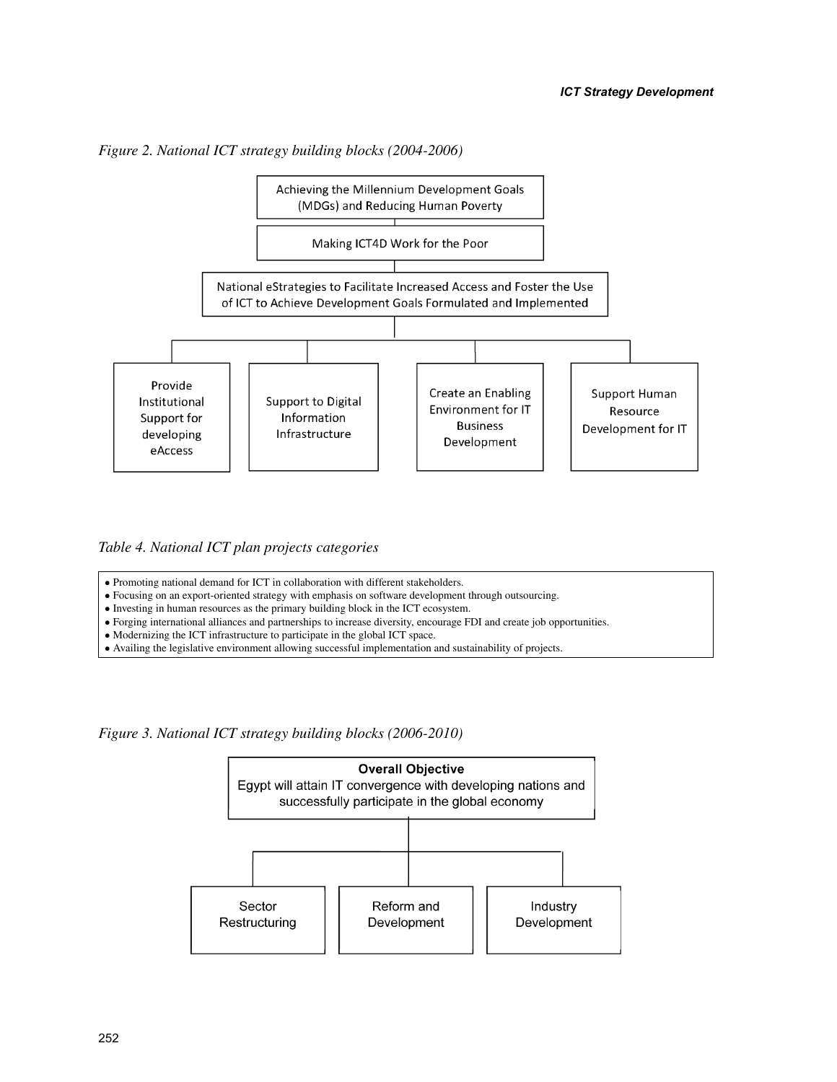

*Figure 2. National ICT strategy building blocks (2004-2006)*

*Table 4. National ICT plan projects categories*

• Promoting national demand for ICT in collaboration with different stakeholders.

• Focusing on an export-oriented strategy with emphasis on software development through outsourcing.

• Investing in human resources as the primary building block in the ICT ecosystem.

• Forging international alliances and partnerships to increase diversity, encourage FDI and create job opportunities.

- Modernizing the ICT infrastructure to participate in the global ICT space.
- Availing the legislative environment allowing successful implementation and sustainability of projects.

*Figure 3. National ICT strategy building blocks (2006-2010)*

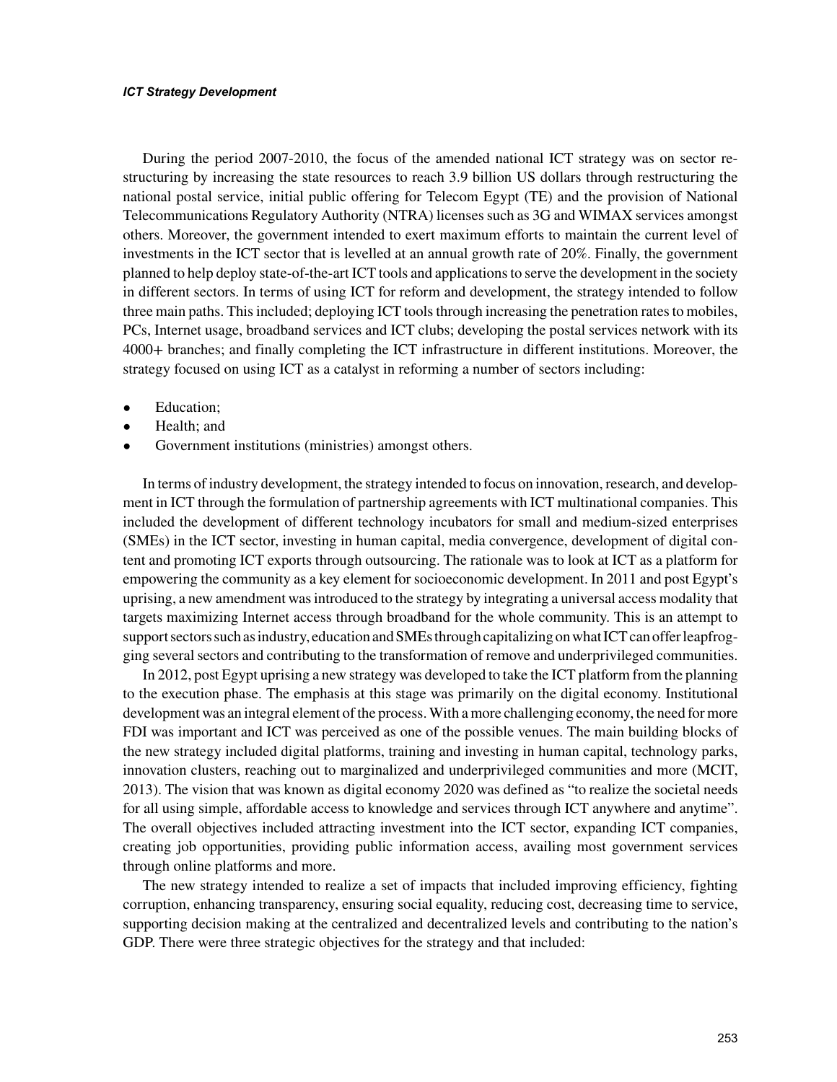During the period 2007-2010, the focus of the amended national ICT strategy was on sector restructuring by increasing the state resources to reach 3.9 billion US dollars through restructuring the national postal service, initial public offering for Telecom Egypt (TE) and the provision of National Telecommunications Regulatory Authority (NTRA) licenses such as 3G and WIMAX services amongst others. Moreover, the government intended to exert maximum efforts to maintain the current level of investments in the ICT sector that is levelled at an annual growth rate of 20%. Finally, the government planned to help deploy state-of-the-art ICT tools and applications to serve the development in the society in different sectors. In terms of using ICT for reform and development, the strategy intended to follow three main paths. This included; deploying ICT tools through increasing the penetration rates to mobiles, PCs, Internet usage, broadband services and ICT clubs; developing the postal services network with its 4000+ branches; and finally completing the ICT infrastructure in different institutions. Moreover, the strategy focused on using ICT as a catalyst in reforming a number of sectors including:

- Education;
- Health; and
- Government institutions (ministries) amongst others.

In terms of industry development, the strategy intended to focus on innovation, research, and development in ICT through the formulation of partnership agreements with ICT multinational companies. This included the development of different technology incubators for small and medium-sized enterprises (SMEs) in the ICT sector, investing in human capital, media convergence, development of digital content and promoting ICT exports through outsourcing. The rationale was to look at ICT as a platform for empowering the community as a key element for socioeconomic development. In 2011 and post Egypt's uprising, a new amendment was introduced to the strategy by integrating a universal access modality that targets maximizing Internet access through broadband for the whole community. This is an attempt to support sectors such as industry, education and SMEs through capitalizing on what ICT can offer leapfrogging several sectors and contributing to the transformation of remove and underprivileged communities.

In 2012, post Egypt uprising a new strategy was developed to take the ICT platform from the planning to the execution phase. The emphasis at this stage was primarily on the digital economy. Institutional development was an integral element of the process. With a more challenging economy, the need for more FDI was important and ICT was perceived as one of the possible venues. The main building blocks of the new strategy included digital platforms, training and investing in human capital, technology parks, innovation clusters, reaching out to marginalized and underprivileged communities and more (MCIT, 2013). The vision that was known as digital economy 2020 was defined as "to realize the societal needs for all using simple, affordable access to knowledge and services through ICT anywhere and anytime". The overall objectives included attracting investment into the ICT sector, expanding ICT companies, creating job opportunities, providing public information access, availing most government services through online platforms and more.

The new strategy intended to realize a set of impacts that included improving efficiency, fighting corruption, enhancing transparency, ensuring social equality, reducing cost, decreasing time to service, supporting decision making at the centralized and decentralized levels and contributing to the nation's GDP. There were three strategic objectives for the strategy and that included: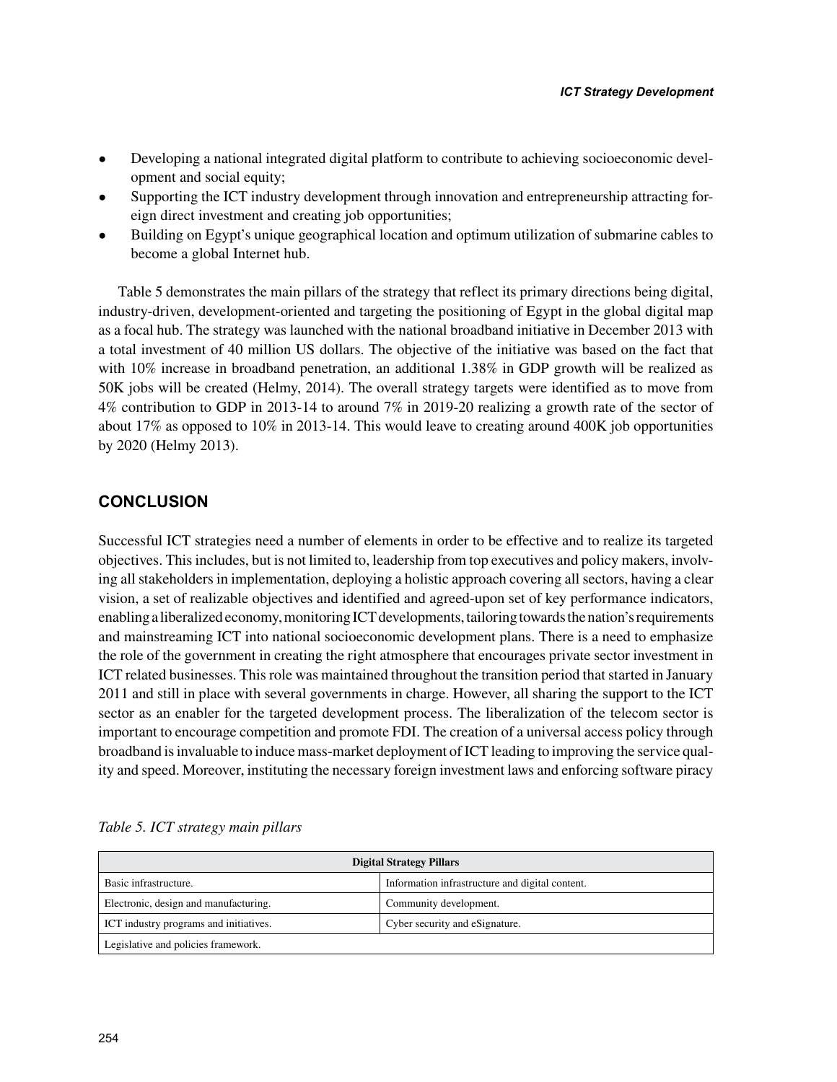- Developing a national integrated digital platform to contribute to achieving socioeconomic development and social equity;
- Supporting the ICT industry development through innovation and entrepreneurship attracting foreign direct investment and creating job opportunities;
- Building on Egypt's unique geographical location and optimum utilization of submarine cables to become a global Internet hub.

Table 5 demonstrates the main pillars of the strategy that reflect its primary directions being digital, industry-driven, development-oriented and targeting the positioning of Egypt in the global digital map as a focal hub. The strategy was launched with the national broadband initiative in December 2013 with a total investment of 40 million US dollars. The objective of the initiative was based on the fact that with 10% increase in broadband penetration, an additional 1.38% in GDP growth will be realized as 50K jobs will be created (Helmy, 2014). The overall strategy targets were identified as to move from 4% contribution to GDP in 2013-14 to around 7% in 2019-20 realizing a growth rate of the sector of about 17% as opposed to 10% in 2013-14. This would leave to creating around 400K job opportunities by 2020 (Helmy 2013).

# **CONCLUSION**

Successful ICT strategies need a number of elements in order to be effective and to realize its targeted objectives. This includes, but is not limited to, leadership from top executives and policy makers, involving all stakeholders in implementation, deploying a holistic approach covering all sectors, having a clear vision, a set of realizable objectives and identified and agreed-upon set of key performance indicators, enabling a liberalized economy, monitoring ICT developments, tailoring towards the nation's requirements and mainstreaming ICT into national socioeconomic development plans. There is a need to emphasize the role of the government in creating the right atmosphere that encourages private sector investment in ICT related businesses. This role was maintained throughout the transition period that started in January 2011 and still in place with several governments in charge. However, all sharing the support to the ICT sector as an enabler for the targeted development process. The liberalization of the telecom sector is important to encourage competition and promote FDI. The creation of a universal access policy through broadband is invaluable to induce mass-market deployment of ICT leading to improving the service quality and speed. Moreover, instituting the necessary foreign investment laws and enforcing software piracy

| <b>Digital Strategy Pillars</b>        |                                                 |  |
|----------------------------------------|-------------------------------------------------|--|
| Basic infrastructure.                  | Information infrastructure and digital content. |  |
| Electronic, design and manufacturing.  | Community development.                          |  |
| ICT industry programs and initiatives. | Cyber security and eSignature.                  |  |
| Legislative and policies framework.    |                                                 |  |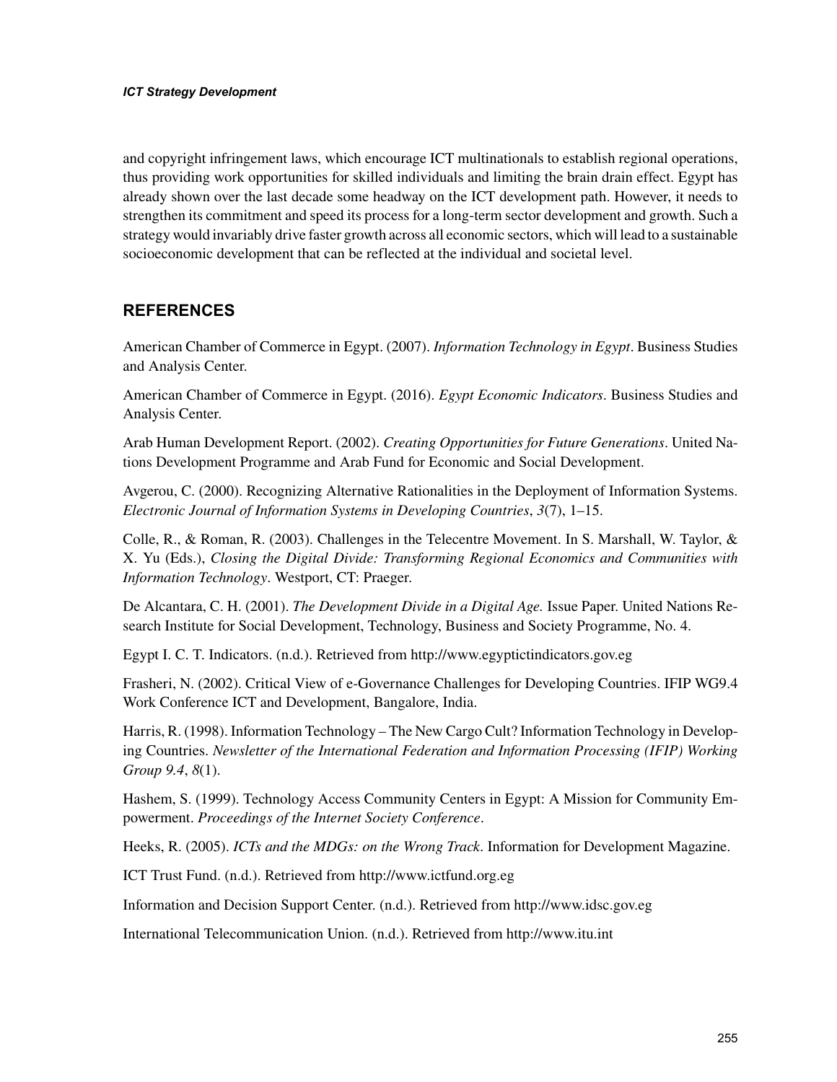and copyright infringement laws, which encourage ICT multinationals to establish regional operations, thus providing work opportunities for skilled individuals and limiting the brain drain effect. Egypt has already shown over the last decade some headway on the ICT development path. However, it needs to strengthen its commitment and speed its process for a long-term sector development and growth. Such a strategy would invariably drive faster growth across all economic sectors, which will lead to a sustainable socioeconomic development that can be reflected at the individual and societal level.

# **REFERENCES**

American Chamber of Commerce in Egypt. (2007). *Information Technology in Egypt*. Business Studies and Analysis Center.

American Chamber of Commerce in Egypt. (2016). *Egypt Economic Indicators*. Business Studies and Analysis Center.

Arab Human Development Report. (2002). *Creating Opportunities for Future Generations*. United Nations Development Programme and Arab Fund for Economic and Social Development.

Avgerou, C. (2000). Recognizing Alternative Rationalities in the Deployment of Information Systems. *Electronic Journal of Information Systems in Developing Countries*, *3*(7), 1–15.

Colle, R., & Roman, R. (2003). Challenges in the Telecentre Movement. In S. Marshall, W. Taylor, & X. Yu (Eds.), *Closing the Digital Divide: Transforming Regional Economics and Communities with Information Technology*. Westport, CT: Praeger.

De Alcantara, C. H. (2001). *The Development Divide in a Digital Age.* Issue Paper. United Nations Research Institute for Social Development, Technology, Business and Society Programme, No. 4.

Egypt I. C. T. Indicators. (n.d.). Retrieved from http://www.egyptictindicators.gov.eg

Frasheri, N. (2002). Critical View of e-Governance Challenges for Developing Countries. IFIP WG9.4 Work Conference ICT and Development, Bangalore, India.

Harris, R. (1998). Information Technology – The New Cargo Cult? Information Technology in Developing Countries. *Newsletter of the International Federation and Information Processing (IFIP) Working Group 9.4*, *8*(1).

Hashem, S. (1999). Technology Access Community Centers in Egypt: A Mission for Community Empowerment. *Proceedings of the Internet Society Conference*.

Heeks, R. (2005). *ICTs and the MDGs: on the Wrong Track*. Information for Development Magazine.

ICT Trust Fund. (n.d.). Retrieved from http://www.ictfund.org.eg

Information and Decision Support Center. (n.d.). Retrieved from http://www.idsc.gov.eg

International Telecommunication Union. (n.d.). Retrieved from http://www.itu.int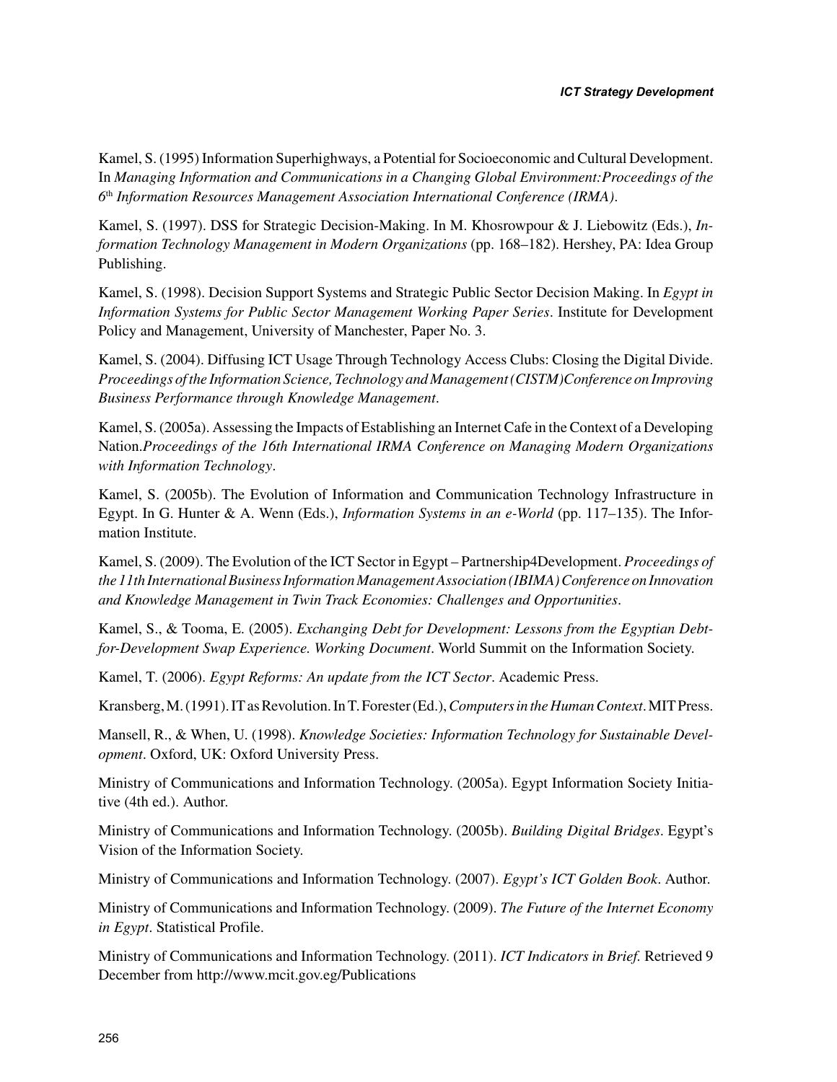Kamel, S. (1995) Information Superhighways, a Potential for Socioeconomic and Cultural Development. In *Managing Information and Communications in a Changing Global Environment:Proceedings of the 6*th *Information Resources Management Association International Conference (IRMA)*.

Kamel, S. (1997). DSS for Strategic Decision-Making. In M. Khosrowpour & J. Liebowitz (Eds.), *Information Technology Management in Modern Organizations* (pp. 168–182). Hershey, PA: Idea Group Publishing.

Kamel, S. (1998). Decision Support Systems and Strategic Public Sector Decision Making. In *Egypt in Information Systems for Public Sector Management Working Paper Series*. Institute for Development Policy and Management, University of Manchester, Paper No. 3.

Kamel, S. (2004). Diffusing ICT Usage Through Technology Access Clubs: Closing the Digital Divide. *Proceedings of the Information Science, Technology and Management (CISTM)Conference on Improving Business Performance through Knowledge Management*.

Kamel, S. (2005a). Assessing the Impacts of Establishing an Internet Cafe in the Context of a Developing Nation.*Proceedings of the 16th International IRMA Conference on Managing Modern Organizations with Information Technology*.

Kamel, S. (2005b). The Evolution of Information and Communication Technology Infrastructure in Egypt. In G. Hunter & A. Wenn (Eds.), *Information Systems in an e-World* (pp. 117–135). The Information Institute.

Kamel, S. (2009). The Evolution of the ICT Sector in Egypt – Partnership4Development. *Proceedings of the 11th International Business Information Management Association (IBIMA) Conference on Innovation and Knowledge Management in Twin Track Economies: Challenges and Opportunities*.

Kamel, S., & Tooma, E. (2005). *Exchanging Debt for Development: Lessons from the Egyptian Debtfor-Development Swap Experience. Working Document*. World Summit on the Information Society.

Kamel, T. (2006). *Egypt Reforms: An update from the ICT Sector*. Academic Press.

Kransberg, M. (1991). IT as Revolution. In T. Forester (Ed.), *Computers in the Human Context*. MIT Press.

Mansell, R., & When, U. (1998). *Knowledge Societies: Information Technology for Sustainable Development*. Oxford, UK: Oxford University Press.

Ministry of Communications and Information Technology. (2005a). Egypt Information Society Initiative (4th ed.). Author.

Ministry of Communications and Information Technology. (2005b). *Building Digital Bridges*. Egypt's Vision of the Information Society.

Ministry of Communications and Information Technology. (2007). *Egypt's ICT Golden Book*. Author.

Ministry of Communications and Information Technology. (2009). *The Future of the Internet Economy in Egypt*. Statistical Profile.

Ministry of Communications and Information Technology. (2011). *ICT Indicators in Brief.* Retrieved 9 December from http://www.mcit.gov.eg/Publications